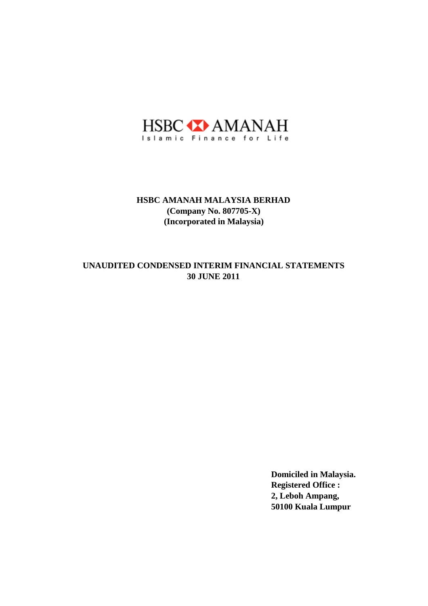

# **30 JUNE 2011 UNAUDITED CONDENSED INTERIM FINANCIAL STATEMENTS**

**Domiciled in Malaysia. Registered Office : 2, Leboh Ampang, 50100 Kuala Lumpur**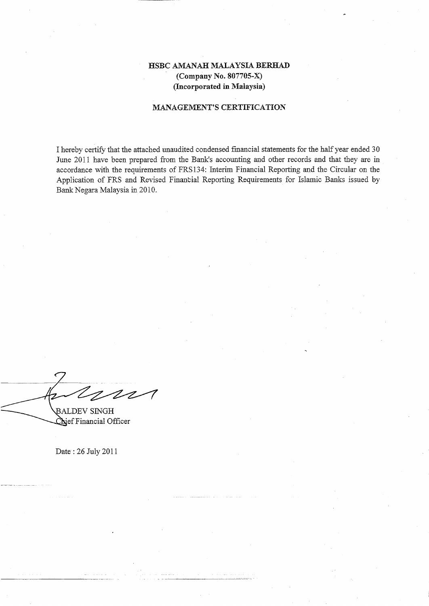## MANAGEMENT'S CERTIFICATION

I hereby certify that the attached unaudited condensed financial statements for the half year ended 30 June 2011 have been prepared from the Bank's accounting and other records and that they are in accordance with the requirements of FRS 134: Interim Financial Reporting and the Circular on the Application of FRS and Revised Financial Reporting Requirements for Islamic Banks issued by Bank Negara Malaysia in 2010.

 $212$ ALDEV SINGH

Chief Financial Officer

Date' : 26 July 2011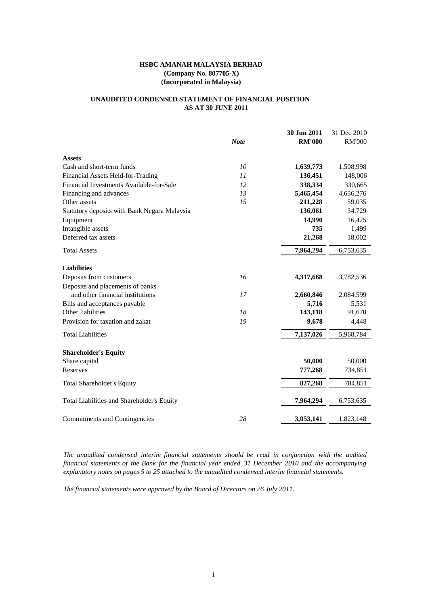## **UNAUDITED CONDENSED STATEMENT OF FINANCIAL POSITION AS AT 30 JUNE 2011**

|                                                                      | <b>Note</b> | 30 Jun 2011<br><b>RM'000</b> | 31 Dec 2010<br><b>RM'000</b> |
|----------------------------------------------------------------------|-------------|------------------------------|------------------------------|
|                                                                      |             |                              |                              |
| <b>Assets</b>                                                        |             |                              |                              |
| Cash and short-term funds                                            | 10          | 1,639,773                    | 1,508,998                    |
| Financial Assets Held-for-Trading                                    | 11          | 136,451                      | 148,006                      |
| Financial Investments Available-for-Sale                             | 12          | 338,334                      | 330,665                      |
| Financing and advances                                               | 13          | 5,465,454                    | 4,636,276                    |
| Other assets                                                         | 15          | 211,228                      | 59,035                       |
| Statutory deposits with Bank Negara Malaysia                         |             | 136,061                      | 34,729                       |
| Equipment                                                            |             | 14,990                       | 16,425                       |
| Intangible assets                                                    |             | 735                          | 1,499                        |
| Deferred tax assets                                                  |             | 21,268                       | 18,002                       |
| <b>Total Assets</b>                                                  |             | 7,964,294                    | 6,753,635                    |
|                                                                      |             |                              |                              |
| <b>Liabilities</b>                                                   | 16          |                              |                              |
| Deposits from customers                                              |             | 4,317,668                    | 3,782,536                    |
| Deposits and placements of banks<br>and other financial institutions |             |                              |                              |
|                                                                      | 17          | 2,660,846                    | 2,084,599                    |
| Bills and acceptances payable<br>Other liabilities                   | 18          | 5,716<br>143,118             | 5,531<br>91,670              |
| Provision for taxation and zakat                                     | 19          |                              |                              |
|                                                                      |             | 9,678                        | 4,448                        |
| <b>Total Liabilities</b>                                             |             | 7,137,026                    | 5,968,784                    |
| <b>Shareholder's Equity</b>                                          |             |                              |                              |
| Share capital                                                        |             | 50,000                       | 50,000                       |
| Reserves                                                             |             | 777,268                      | 734,851                      |
| <b>Total Shareholder's Equity</b>                                    |             | 827,268                      | 784,851                      |
|                                                                      |             |                              |                              |
| Total Liabilities and Shareholder's Equity                           |             | 7,964,294                    | 6,753,635                    |
| Commitments and Contingencies                                        | 28          | 3,053,141                    | 1,823,148                    |

*The unaudited condensed interim financial statements should be read in conjunction with the audited financial statements of the Bank for the financial year ended 31 December 2010 and the accompanying explanatory notes on pages 5 to 25 attached to the unaudited condensed interim financial statements.*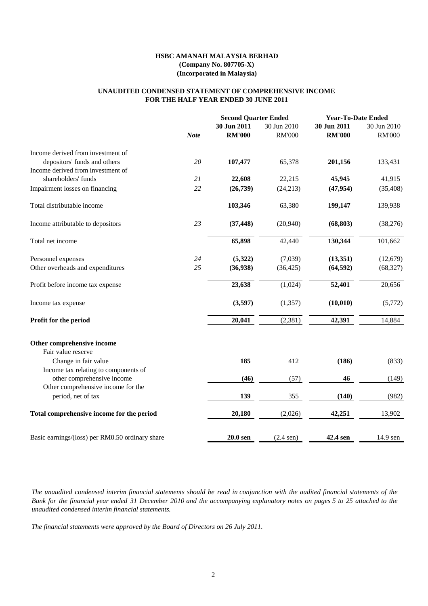### **FOR THE HALF YEAR ENDED 30 JUNE 2011 UNAUDITED CONDENSED STATEMENT OF COMPREHENSIVE INCOME**

|             |               |                  |                                                    | <b>Year-To-Date Ended</b> |  |
|-------------|---------------|------------------|----------------------------------------------------|---------------------------|--|
|             | 30 Jun 2011   | 30 Jun 2010      | 30 Jun 2011                                        | 30 Jun 2010               |  |
| <b>Note</b> | <b>RM'000</b> | <b>RM'000</b>    | <b>RM'000</b>                                      | <b>RM'000</b>             |  |
|             |               |                  |                                                    |                           |  |
| 20          | 107,477       | 65,378           | 201,156                                            | 133,431                   |  |
|             |               |                  |                                                    |                           |  |
| 21          | 22,608        | 22,215           | 45,945                                             | 41,915                    |  |
| 22          | (26, 739)     | (24, 213)        | (47, 954)                                          | (35, 408)                 |  |
|             | 103,346       | 63,380           | 199,147                                            | 139,938                   |  |
| 23          | (37, 448)     | (20,940)         | (68, 803)                                          | (38,276)                  |  |
|             | 65,898        | 42,440           | 130,344                                            | 101,662                   |  |
| 24          | (5,322)       | (7,039)          | (13,351)                                           | (12,679)                  |  |
| 25          | (36,938)      | (36, 425)        | (64, 592)                                          | (68, 327)                 |  |
|             | 23,638        | (1,024)          | 52,401                                             | 20,656                    |  |
|             | (3,597)       | (1, 357)         | (10, 010)                                          | (5,772)                   |  |
|             | 20,041        | (2, 381)         | 42,391                                             | 14,884                    |  |
|             |               |                  |                                                    |                           |  |
|             |               |                  |                                                    |                           |  |
|             | 185           | 412              | (186)                                              | (833)                     |  |
|             |               |                  |                                                    |                           |  |
|             |               |                  |                                                    | (149)                     |  |
|             | 139           | 355              | (140)                                              | (982)                     |  |
|             | 20,180        | (2,026)          | 42,251                                             | 13,902                    |  |
|             |               |                  |                                                    | 14.9 sen                  |  |
|             |               | (46)<br>20.0 sen | <b>Second Quarter Ended</b><br>(57)<br>$(2.4$ sen) | 46<br>42.4 sen            |  |

The unaudited condensed interim financial statements should be read in conjunction with the audited financial statements of the Bank for the financial year ended 31 December 2010 and the accompanying explanatory notes on pages 5 to 25 attached to the *unaudited condensed interim financial statements.*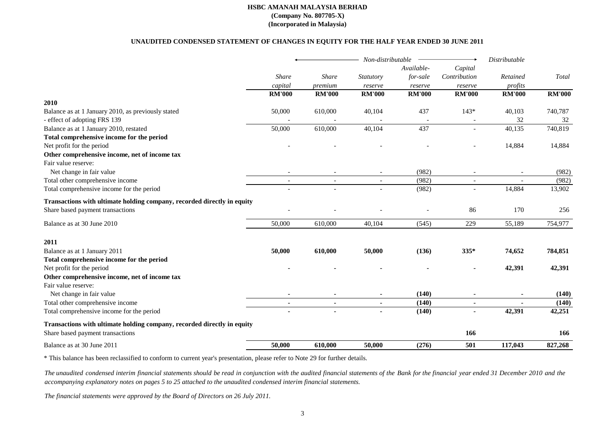#### **UNAUDITED CONDENSED STATEMENT OF CHANGES IN EQUITY FOR THE HALF YEAR ENDED 30 JUNE 2011**

|                                                                         |               |                | Non-distributable |               |                | Distributable |                        |
|-------------------------------------------------------------------------|---------------|----------------|-------------------|---------------|----------------|---------------|------------------------|
|                                                                         |               |                |                   | Available-    | Capital        |               |                        |
|                                                                         | <b>Share</b>  | Share          | Statutory         | for-sale      | Contribution   | Retained      | $\operatorname{Total}$ |
|                                                                         | capital       | premium        | reserve           | reserve       | reserve        | profits       |                        |
|                                                                         | <b>RM'000</b> | <b>RM'000</b>  | <b>RM'000</b>     | <b>RM'000</b> | <b>RM'000</b>  | <b>RM'000</b> | <b>RM'000</b>          |
| 2010                                                                    |               |                |                   |               |                |               |                        |
| Balance as at 1 January 2010, as previously stated                      | 50,000        | 610,000        | 40,104            | 437           | $143*$         | 40,103        | 740,787                |
| - effect of adopting FRS 139                                            |               |                |                   |               |                | 32            | 32                     |
| Balance as at 1 January 2010, restated                                  | 50,000        | 610,000        | 40,104            | 437           |                | 40,135        | 740,819                |
| Total comprehensive income for the period                               |               |                |                   |               |                |               |                        |
| Net profit for the period                                               |               |                |                   |               |                | 14,884        | 14,884                 |
| Other comprehensive income, net of income tax                           |               |                |                   |               |                |               |                        |
| Fair value reserve:                                                     |               |                |                   |               |                |               |                        |
| Net change in fair value                                                |               |                |                   | (982)         |                |               | (982)                  |
| Total other comprehensive income                                        |               |                |                   | (982)         |                |               | (982)                  |
| Total comprehensive income for the period                               |               |                |                   | (982)         |                | 14,884        | 13,902                 |
| Transactions with ultimate holding company, recorded directly in equity |               |                |                   |               |                |               |                        |
| Share based payment transactions                                        |               |                |                   |               | 86             | 170           | 256                    |
| Balance as at 30 June 2010                                              | 50,000        | 610,000        | 40,104            | (545)         | 229            | 55,189        | 754,977                |
| 2011                                                                    |               |                |                   |               |                |               |                        |
| Balance as at 1 January 2011                                            | 50,000        | 610,000        | 50,000            | (136)         | $335*$         | 74,652        | 784,851                |
| Total comprehensive income for the period                               |               |                |                   |               |                |               |                        |
| Net profit for the period                                               |               |                |                   |               |                | 42,391        | 42,391                 |
| Other comprehensive income, net of income tax                           |               |                |                   |               |                |               |                        |
| Fair value reserve:                                                     |               |                |                   |               |                |               |                        |
| Net change in fair value                                                |               |                |                   | (140)         |                |               | (140)                  |
| Total other comprehensive income                                        | $\sim$        | $\blacksquare$ | $\blacksquare$    | (140)         | $\blacksquare$ |               | (140)                  |
| Total comprehensive income for the period                               |               |                |                   | (140)         |                | 42,391        | 42,251                 |
| Transactions with ultimate holding company, recorded directly in equity |               |                |                   |               |                |               |                        |
| Share based payment transactions                                        |               |                |                   |               | 166            |               | 166                    |
| Balance as at 30 June 2011                                              | 50,000        | 610,000        | 50,000            | (276)         | 501            | 117,043       | 827,268                |
|                                                                         |               |                |                   |               |                |               |                        |

\* This balance has been reclassified to conform to current year's presentation, please refer to Note 29 for further details.

The unaudited condensed interim financial statements should be read in conjunction with the audited financial statements of the Bank for the financial year ended 31 December 2010 and the *accompanying explanatory notes on pages 5 to 25 attached to the unaudited condensed interim financial statements.*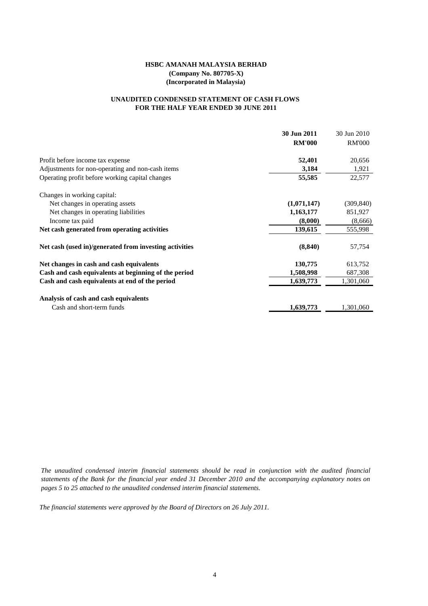## **FOR THE HALF YEAR ENDED 30 JUNE 2011 UNAUDITED CONDENSED STATEMENT OF CASH FLOWS**

|                                                        | 30 Jun 2011   | 30 Jun 2010   |
|--------------------------------------------------------|---------------|---------------|
|                                                        | <b>RM'000</b> | <b>RM'000</b> |
| Profit before income tax expense                       | 52,401        | 20,656        |
| Adjustments for non-operating and non-cash items       | 3,184         | 1,921         |
| Operating profit before working capital changes        | 55,585        | 22,577        |
| Changes in working capital:                            |               |               |
| Net changes in operating assets                        | (1,071,147)   | (309, 840)    |
| Net changes in operating liabilities                   | 1,163,177     | 851,927       |
| Income tax paid                                        | (8,000)       | (8,666)       |
| Net cash generated from operating activities           | 139,615       | 555,998       |
| Net cash (used in)/generated from investing activities | (8, 840)      | 57,754        |
| Net changes in cash and cash equivalents               | 130,775       | 613,752       |
| Cash and cash equivalents at beginning of the period   | 1,508,998     | 687,308       |
| Cash and cash equivalents at end of the period         | 1,639,773     | 1,301,060     |
| Analysis of cash and cash equivalents                  |               |               |
| Cash and short-term funds                              | 1,639,773     | 1,301,060     |

*The unaudited condensed interim financial statements should be read in conjunction with the audited financial* statements of the Bank for the financial year ended 31 December 2010 and the accompanying explanatory notes on *pages 5 to 25 attached to the unaudited condensed interim financial statements.*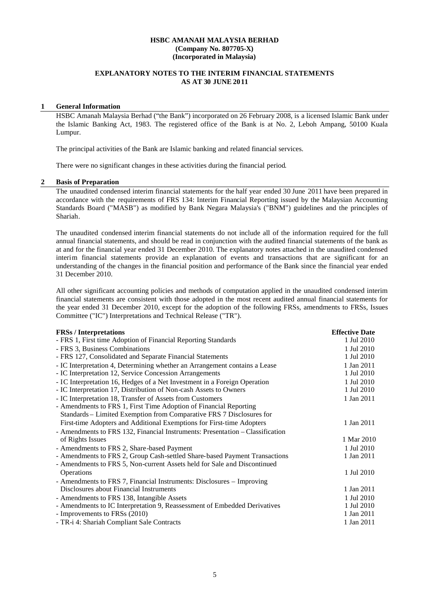## **EXPLANATORY NOTES TO THE INTERIM FINANCIAL STATEMENTS AS AT 30 JUNE 2011**

### **1 General Information**

HSBC Amanah Malaysia Berhad ("the Bank") incorporated on 26 February 2008, is a licensed Islamic Bank under the Islamic Banking Act, 1983. The registered office of the Bank is at No. 2, Leboh Ampang, 50100 Kuala Lumpur.

The principal activities of the Bank are Islamic banking and related financial services.

There were no significant changes in these activities during the financial period.

#### **2 Basis of Preparation**

The unaudited condensed interim financial statements for the half year ended 30 June 2011 have been prepared in accordance with the requirements of FRS 134: Interim Financial Reporting issued by the Malaysian Accounting Standards Board ("MASB") as modified by Bank Negara Malaysia's ("BNM") guidelines and the principles of Shariah.

The unaudited condensed interim financial statements do not include all of the information required for the full annual financial statements, and should be read in conjunction with the audited financial statements of the bank as at and for the financial year ended 31 December 2010. The explanatory notes attached in the unaudited condensed interim financial statements provide an explanation of events and transactions that are significant for an understanding of the changes in the financial position and performance of the Bank since the financial year ended 31 December 2010.

All other significant accounting policies and methods of computation applied in the unaudited condensed interim financial statements are consistent with those adopted in the most recent audited annual financial statements for the year ended 31 December 2010, except for the adoption of the following FRSs, amendments to FRSs, Issues Committee ("IC") Interpretations and Technical Release ("TR").

| <b>FRSs</b> / Interpretations                                                 | <b>Effective Date</b> |
|-------------------------------------------------------------------------------|-----------------------|
| - FRS 1, First time Adoption of Financial Reporting Standards                 | 1 Jul 2010            |
| - FRS 3, Business Combinations                                                | 1 Jul 2010            |
| - FRS 127, Consolidated and Separate Financial Statements                     | 1 Jul 2010            |
| - IC Interpretation 4, Determining whether an Arrangement contains a Lease    | 1 Jan 2011            |
| - IC Interpretation 12, Service Concession Arrangements                       | 1 Jul 2010            |
| - IC Interpretation 16, Hedges of a Net Investment in a Foreign Operation     | 1 Jul 2010            |
| - IC Interpretation 17, Distribution of Non-cash Assets to Owners             | 1 Jul 2010            |
| - IC Interpretation 18, Transfer of Assets from Customers                     | 1 Jan 2011            |
| - Amendments to FRS 1, First Time Adoption of Financial Reporting             |                       |
| Standards – Limited Exemption from Comparative FRS 7 Disclosures for          |                       |
| First-time Adopters and Additional Exemptions for First-time Adopters         | 1 Jan 2011            |
| - Amendments to FRS 132, Financial Instruments: Presentation - Classification |                       |
| of Rights Issues                                                              | 1 Mar 2010            |
| - Amendments to FRS 2, Share-based Payment                                    | 1 Jul 2010            |
| - Amendments to FRS 2, Group Cash-settled Share-based Payment Transactions    | 1 Jan 2011            |
| - Amendments to FRS 5, Non-current Assets held for Sale and Discontinued      |                       |
| Operations                                                                    | 1 Jul 2010            |
| - Amendments to FRS 7, Financial Instruments: Disclosures – Improving         |                       |
| Disclosures about Financial Instruments                                       | 1 Jan 2011            |
| - Amendments to FRS 138, Intangible Assets                                    | 1 Jul 2010            |
| - Amendments to IC Interpretation 9, Reassessment of Embedded Derivatives     | 1 Jul 2010            |
| - Improvements to FRSs (2010)                                                 | 1 Jan 2011            |
| - TR-i 4: Shariah Compliant Sale Contracts                                    | 1 Jan 2011            |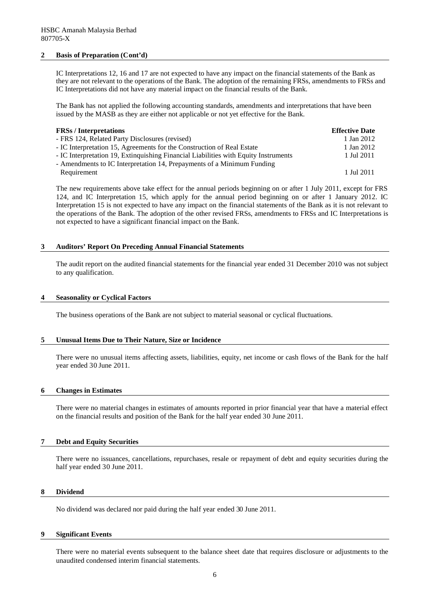#### **2 Basis of Preparation (Cont'd)**

IC Interpretations 12, 16 and 17 are not expected to have any impact on the financial statements of the Bank as they are not relevant to the operations of the Bank. The adoption of the remaining FRSs, amendments to FRSs and IC Interpretations did not have any material impact on the financial results of the Bank.

The Bank has not applied the following accounting standards, amendments and interpretations that have been issued by the MASB as they are either not applicable or not yet effective for the Bank.

| <b>FRSs</b> / Interpretations                                                       | <b>Effective Date</b> |
|-------------------------------------------------------------------------------------|-----------------------|
| - FRS 124, Related Party Disclosures (revised)                                      | 1 Jan 2012            |
| - IC Interpretation 15, Agreements for the Construction of Real Estate              | 1 Jan 2012            |
| - IC Interpretation 19, Extinquishing Financial Liabilities with Equity Instruments | 1 Jul 2011            |
| - Amendments to IC Interpretation 14, Prepayments of a Minimum Funding              |                       |
| Requirement                                                                         | 1 Jul 2011            |

The new requirements above take effect for the annual periods beginning on or after 1 July 2011, except for FRS 124, and IC Interpretation 15, which apply for the annual period beginning on or after 1 January 2012. IC Interpretation 15 is not expected to have any impact on the financial statements of the Bank as it is not relevant to the operations of the Bank. The adoption of the other revised FRSs, amendments to FRSs and IC Interpretations is not expected to have a significant financial impact on the Bank.

#### **3 Auditors' Report On Preceding Annual Financial Statements**

The audit report on the audited financial statements for the financial year ended 31 December 2010 was not subject to any qualification.

#### **4 Seasonality or Cyclical Factors**

The business operations of the Bank are not subject to material seasonal or cyclical fluctuations.

#### **5 Unusual Items Due to Their Nature, Size or Incidence**

There were no unusual items affecting assets, liabilities, equity, net income or cash flows of the Bank for the half year ended 30 June 2011.

#### **6 Changes in Estimates**

There were no material changes in estimates of amounts reported in prior financial year that have a material effect on the financial results and position of the Bank for the half year ended 30 June 2011.

#### **7 Debt and Equity Securities**

There were no issuances, cancellations, repurchases, resale or repayment of debt and equity securities during the half year ended 30 June 2011.

#### **8 Dividend**

No dividend was declared nor paid during the half year ended 30 June 2011.

#### **9 Significant Events**

There were no material events subsequent to the balance sheet date that requires disclosure or adjustments to the unaudited condensed interim financial statements.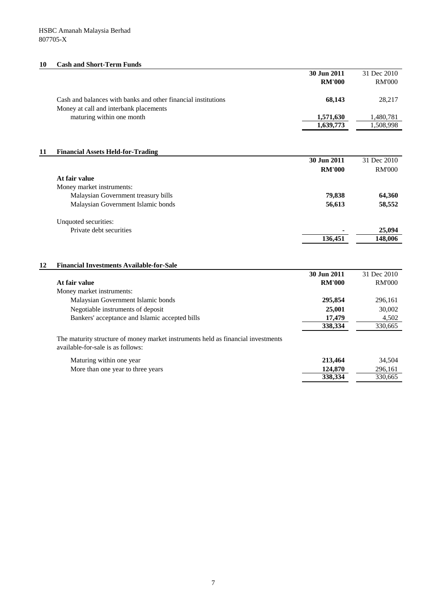## **10 Cash and Short-Term Funds**

|    |                                                                                  | 30 Jun 2011   | 31 Dec 2010   |
|----|----------------------------------------------------------------------------------|---------------|---------------|
|    |                                                                                  | <b>RM'000</b> | <b>RM'000</b> |
|    |                                                                                  |               |               |
|    | Cash and balances with banks and other financial institutions                    | 68,143        | 28,217        |
|    | Money at call and interbank placements                                           |               |               |
|    | maturing within one month                                                        | 1,571,630     | 1,480,781     |
|    |                                                                                  | 1,639,773     | 1,508,998     |
|    |                                                                                  |               |               |
|    |                                                                                  |               |               |
| 11 | <b>Financial Assets Held-for-Trading</b>                                         |               |               |
|    |                                                                                  | 30 Jun 2011   | 31 Dec 2010   |
|    |                                                                                  | <b>RM'000</b> | <b>RM'000</b> |
|    | At fair value                                                                    |               |               |
|    | Money market instruments:                                                        |               |               |
|    | Malaysian Government treasury bills                                              | 79,838        | 64,360        |
|    | Malaysian Government Islamic bonds                                               | 56,613        | 58,552        |
|    |                                                                                  |               |               |
|    | Unquoted securities:                                                             |               |               |
|    | Private debt securities                                                          |               | 25,094        |
|    |                                                                                  | 136,451       | 148,006       |
|    |                                                                                  |               |               |
|    |                                                                                  |               |               |
| 12 | <b>Financial Investments Available-for-Sale</b>                                  |               |               |
|    |                                                                                  | 30 Jun 2011   | 31 Dec 2010   |
|    | At fair value                                                                    | <b>RM'000</b> | <b>RM'000</b> |
|    | Money market instruments:                                                        |               |               |
|    | Malaysian Government Islamic bonds                                               | 295,854       | 296,161       |
|    | Negotiable instruments of deposit                                                | 25,001        | 30,002        |
|    | Bankers' acceptance and Islamic accepted bills                                   | 17,479        | 4,502         |
|    |                                                                                  | 338,334       | 330.665       |
|    | The maturity structure of money market instruments held as financial investments |               |               |
|    | available-for-sale is as follows:                                                |               |               |
|    |                                                                                  |               |               |
|    | Maturing within one year                                                         | 213,464       | 34,504        |
|    | More than one year to three years                                                | 124,870       | 296,161       |
|    |                                                                                  | 338,334       | 330,665       |
|    |                                                                                  |               |               |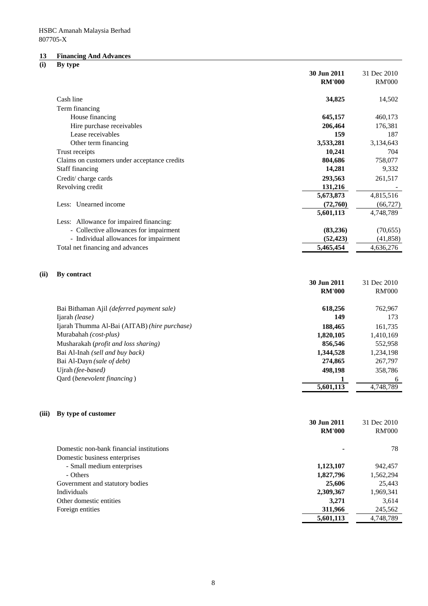#### **13 Financing And Advances**

#### **(i) By type**

|       |                                                                            | 30 Jun 2011            | 31 Dec 2010            |
|-------|----------------------------------------------------------------------------|------------------------|------------------------|
|       |                                                                            | <b>RM'000</b>          | <b>RM'000</b>          |
|       |                                                                            |                        |                        |
|       | Cash line                                                                  | 34,825                 | 14,502                 |
|       | Term financing                                                             |                        |                        |
|       | House financing                                                            | 645,157                | 460,173                |
|       | Hire purchase receivables                                                  | 206,464                | 176,381                |
|       | Lease receivables                                                          | 159                    | 187                    |
|       | Other term financing                                                       | 3,533,281              | 3,134,643              |
|       | Trust receipts                                                             | 10,241                 | 704                    |
|       | Claims on customers under acceptance credits                               | 804,686                | 758,077                |
|       | Staff financing                                                            | 14,281                 | 9,332                  |
|       | Credit/charge cards                                                        | 293,563                | 261,517                |
|       | Revolving credit                                                           | 131,216                |                        |
|       |                                                                            | 5,673,873              | 4,815,516              |
|       | Less: Unearned income                                                      | (72,760)               | (66, 727)              |
|       |                                                                            | 5,601,113              | 4,748,789              |
|       | Less: Allowance for impaired financing:                                    | (83, 236)              |                        |
|       | - Collective allowances for impairment                                     |                        | (70, 655)              |
|       | - Individual allowances for impairment<br>Total net financing and advances | (52, 423)<br>5,465,454 | (41, 858)<br>4,636,276 |
|       |                                                                            |                        |                        |
|       |                                                                            |                        |                        |
| (ii)  | By contract                                                                | 30 Jun 2011            | 31 Dec 2010            |
|       |                                                                            | <b>RM'000</b>          | <b>RM'000</b>          |
|       |                                                                            |                        |                        |
|       | Bai Bithaman Ajil (deferred payment sale)                                  | 618,256                | 762,967                |
|       | Ijarah (lease)                                                             | 149                    | 173                    |
|       | Ijarah Thumma Al-Bai (AITAB) (hire purchase)                               | 188,465                | 161,735                |
|       | Murabahah (cost-plus)                                                      | 1,820,105              | 1,410,169              |
|       | Musharakah (profit and loss sharing)                                       | 856,546                | 552,958                |
|       | Bai Al-Inah (sell and buy back)                                            | 1,344,528              | 1,234,198              |
|       | Bai Al-Dayn (sale of debt)                                                 | 274,865                | 267,797                |
|       | Ujrah (fee-based)                                                          | 498,198                | 358,786                |
|       | Qard (benevolent financing)                                                |                        | 6                      |
|       |                                                                            | 5,601,113              | 4,748,789              |
|       |                                                                            |                        |                        |
| (iii) | By type of customer                                                        |                        |                        |
|       |                                                                            | 30 Jun 2011            | 31 Dec 2010            |
|       |                                                                            | <b>RM'000</b>          | <b>RM'000</b>          |
|       |                                                                            |                        |                        |
|       | Domestic non-bank financial institutions                                   |                        | 78                     |
|       | Domestic business enterprises                                              |                        |                        |
|       | - Small medium enterprises                                                 | 1,123,107              | 942,457                |
|       | - Others                                                                   | 1,827,796              | 1,562,294              |
|       | Government and statutory bodies                                            | 25,606                 | 25,443                 |
|       | Individuals                                                                | 2,309,367              | 1,969,341              |
|       | Other domestic entities                                                    | 3,271                  | 3,614                  |
|       | Foreign entities                                                           | 311,966                | 245,562                |
|       |                                                                            | 5,601,113              | 4,748,789              |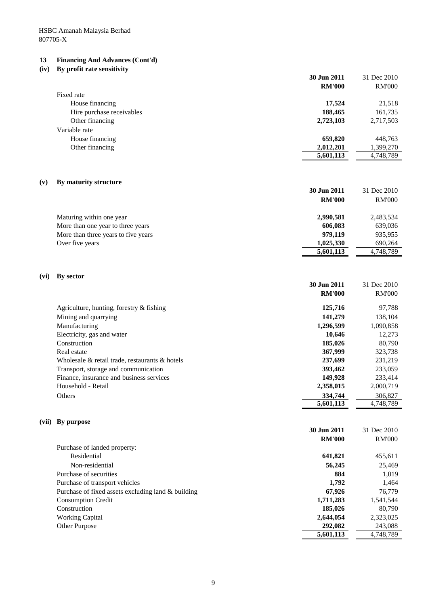### **13 Financing And Advances (Cont'd)**

# **(iv) By profit rate sensitivity 30 Jun 2011** 31 Dec 2010 **RM'000** RM'000 Fixed rate House financing **17,524** 21,518 Hire purchase receivables **188,465** 161,735 Other financing **2,723,103** 2,717,503 Variable rate House financing **659,820** 448,763 Other financing **2,012,201** 1,399,270 **5,601,113** 4,748,789 **(v) By maturity structure 30 Jun 2011** 31 Dec 2010 **RM'000** RM'000 Maturing within one year **2,990,581** 2,483,534 More than one year to three years **639,036 639,036 639,036 639,036** More than three years to five years **979,119** 935,955 Over five years **1,025,330** 690,264 **5,601,113** 4,748,789 **(vi) By sector 30 Jun 2011** 31 Dec 2010 **RM'000** RM'000 Agriculture, hunting, forestry & fishing **125,716** 97,788 Mining and quarrying **141,279** 138,104 Manufacturing **1,296,599** 1,090,858 Electricity, gas and water **10,646** 12,273 Construction **185,026** 80,790 Real estate **367,999** 323,738 Wholesale & retail trade, restaurants & hotels **237,699** 231,219 Transport, storage and communication **393,462** 233,059 Finance, insurance and business services **149,928** 233,414 Household - Retail **2,358,015** 2,000,719 Others **334,744** 306,827 **5,601,113** 4,748,789 **(vii) By purpose 30 Jun 2011** 31 Dec 2010 **RM'000** RM'000 Purchase of landed property: Residential **641,821** 455,611 Non-residential **56,245** 25,469 Purchase of securities **884** 1,019 Purchase of transport vehicles **1,792** 1,464 Purchase of fixed assets excluding land & building **67,926** 76,779 Consumption Credit **1,711,283** 1,541,544 Construction **185,026** 80,790 Working Capital **2,644,054** 2,323,025 Other Purpose 243,088 292,082 243,088 **5,601,113** 4,748,789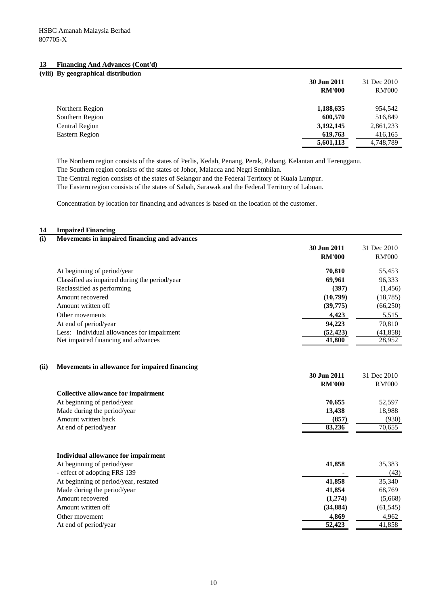## **13 Financing And Advances (Cont'd)**

| (viii) By geographical distribution |               |               |
|-------------------------------------|---------------|---------------|
|                                     | 30 Jun 2011   | 31 Dec 2010   |
|                                     | <b>RM'000</b> | <b>RM'000</b> |
| Northern Region                     | 1,188,635     | 954,542       |
| Southern Region                     | 600,570       | 516,849       |
| Central Region                      | 3,192,145     | 2,861,233     |
| Eastern Region                      | 619,763       | 416,165       |
|                                     | 5,601,113     | 4,748,789     |

The Northern region consists of the states of Perlis, Kedah, Penang, Perak, Pahang, Kelantan and Terengganu.

The Southern region consists of the states of Johor, Malacca and Negri Sembilan.

The Central region consists of the states of Selangor and the Federal Territory of Kuala Lumpur.

The Eastern region consists of the states of Sabah, Sarawak and the Federal Territory of Labuan.

Concentration by location for financing and advances is based on the location of the customer.

#### **14 Impaired Financing**

| (i)  | Movements in impaired financing and advances  |               |               |
|------|-----------------------------------------------|---------------|---------------|
|      |                                               | 30 Jun 2011   | 31 Dec 2010   |
|      |                                               | <b>RM'000</b> | <b>RM'000</b> |
|      | At beginning of period/year                   | 70,810        | 55,453        |
|      | Classified as impaired during the period/year | 69,961        | 96,333        |
|      | Reclassified as performing                    | (397)         | (1, 456)      |
|      | Amount recovered                              | (10,799)      | (18, 785)     |
|      | Amount written off                            | (39,775)      | (66,250)      |
|      | Other movements                               | 4,423         | 5,515         |
|      | At end of period/year                         | 94,223        | 70,810        |
|      | Less: Individual allowances for impairment    | (52, 423)     | (41, 858)     |
|      | Net impaired financing and advances           | 41,800        | 28,952        |
|      |                                               |               |               |
| (ii) | Movements in allowance for impaired financing |               |               |
|      |                                               | 30 Jun 2011   | 31 Dec 2010   |
|      |                                               | <b>RM'000</b> | <b>RM'000</b> |
|      | <b>Collective allowance for impairment</b>    |               |               |
|      | At beginning of period/year                   | 70,655        | 52,597        |
|      | Made during the period/year                   | 13,438        | 18,988        |
|      | Amount written back                           | (857)         | (930)         |
|      | At end of period/year                         | 83,236        | 70,655        |
|      |                                               |               |               |
|      | Individual allowance for impairment           |               |               |
|      | At beginning of period/year                   | 41,858        | 35,383        |
|      | - effect of adopting FRS 139                  |               | (43)          |
|      | At beginning of period/year, restated         | 41,858        | 35,340        |
|      | Made during the period/year                   | 41,854        | 68,769        |
|      | Amount recovered                              | (1,274)       | (5,668)       |
|      | Amount written off                            | (34, 884)     | (61, 545)     |
|      | Other movement                                | 4,869         | 4,962         |
|      | At end of period/year                         | 52,423        | 41.858        |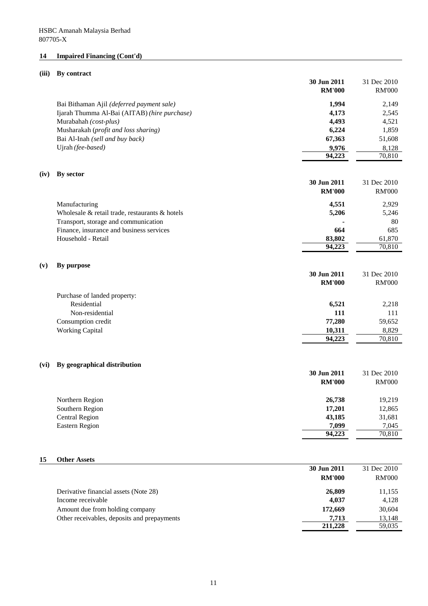# **14 Impaired Financing (Cont'd)**

## **(iii) By contract**

|      |                                                                                | 30 Jun 2011<br><b>RM'000</b> | 31 Dec 2010<br><b>RM'000</b> |
|------|--------------------------------------------------------------------------------|------------------------------|------------------------------|
|      | Bai Bithaman Ajil (deferred payment sale)                                      | 1,994                        | 2,149                        |
|      | Ijarah Thumma Al-Bai (AITAB) (hire purchase)                                   | 4,173                        | 2,545                        |
|      | Murabahah (cost-plus)                                                          | 4,493                        | 4,521                        |
|      | Musharakah (profit and loss sharing)                                           | 6,224                        | 1,859                        |
|      | Bai Al-Inah (sell and buy back)                                                | 67,363                       | 51,608                       |
|      | Ujrah (fee-based)                                                              | 9,976                        | 8,128                        |
|      |                                                                                | 94,223                       | 70,810                       |
|      |                                                                                |                              |                              |
| (iv) | By sector                                                                      |                              |                              |
|      |                                                                                | 30 Jun 2011                  | 31 Dec 2010                  |
|      |                                                                                | <b>RM'000</b>                | <b>RM'000</b>                |
|      | Manufacturing                                                                  | 4,551                        | 2,929                        |
|      | Wholesale & retail trade, restaurants & hotels                                 | 5,206                        | 5,246                        |
|      | Transport, storage and communication                                           |                              | 80                           |
|      | Finance, insurance and business services                                       | 664                          | 685                          |
|      | Household - Retail                                                             | 83,802                       | 61,870                       |
|      |                                                                                | 94,223                       | 70,810                       |
|      |                                                                                |                              |                              |
| (v)  | By purpose                                                                     |                              |                              |
|      |                                                                                | 30 Jun 2011                  | 31 Dec 2010                  |
|      |                                                                                | <b>RM'000</b>                | <b>RM'000</b>                |
|      | Purchase of landed property:                                                   |                              |                              |
|      | Residential                                                                    | 6,521                        | 2,218                        |
|      | Non-residential                                                                | 111                          | 111                          |
|      | Consumption credit                                                             | 77,280                       | 59,652                       |
|      | <b>Working Capital</b>                                                         | 10,311                       | 8,829                        |
|      |                                                                                | 94,223                       | 70,810                       |
|      |                                                                                |                              |                              |
|      |                                                                                |                              |                              |
| (vi) | By geographical distribution                                                   |                              |                              |
|      |                                                                                | 30 Jun 2011                  | 31 Dec 2010                  |
|      |                                                                                | <b>RM'000</b>                | <b>RM'000</b>                |
|      |                                                                                |                              |                              |
|      | Northern Region                                                                | 26,738                       | 19,219                       |
|      | Southern Region<br><b>Central Region</b>                                       | 17,201                       | 12,865                       |
|      | <b>Eastern Region</b>                                                          | 43,185                       | 31,681                       |
|      |                                                                                | 7,099<br>94,223              | 7,045<br>70,810              |
|      |                                                                                |                              |                              |
|      |                                                                                |                              |                              |
| 15   | <b>Other Assets</b>                                                            |                              |                              |
|      |                                                                                | 30 Jun 2011                  | 31 Dec 2010                  |
|      |                                                                                | <b>RM'000</b>                | <b>RM'000</b>                |
|      |                                                                                |                              |                              |
|      | Derivative financial assets (Note 28)<br>Income receivable                     | 26,809<br>4,037              | 11,155                       |
|      |                                                                                |                              | 4,128                        |
|      | Amount due from holding company<br>Other receivables, deposits and prepayments | 172,669<br>7,713             | 30,604<br>13,148             |
|      |                                                                                | 211,228                      | 59,035                       |
|      |                                                                                |                              |                              |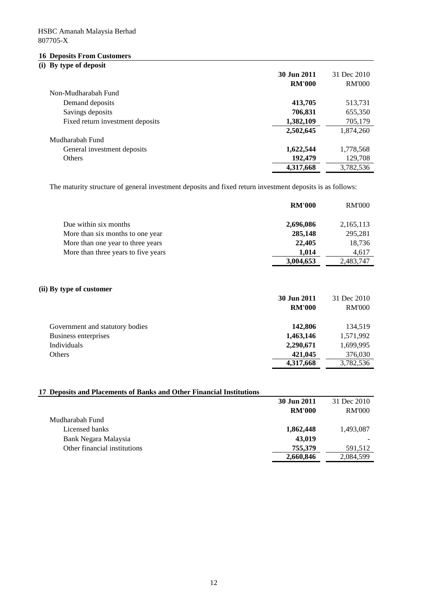# **16 Deposits From Customers**

# **(i) By type of deposit**

|                                  | 30 Jun 2011   | 31 Dec 2010   |
|----------------------------------|---------------|---------------|
|                                  | <b>RM'000</b> | <b>RM'000</b> |
| Non-Mudharabah Fund              |               |               |
| Demand deposits                  | 413,705       | 513,731       |
| Savings deposits                 | 706,831       | 655,350       |
| Fixed return investment deposits | 1,382,109     | 705,179       |
|                                  | 2,502,645     | 1,874,260     |
| Mudharabah Fund                  |               |               |
| General investment deposits      | 1,622,544     | 1,778,568     |
| <b>Others</b>                    | 192,479       | 129,708       |
|                                  | 4,317,668     | 3,782,536     |

The maturity structure of general investment deposits and fixed return investment deposits is as follows:

|                                     | <b>RM'000</b> | <b>RM'000</b> |
|-------------------------------------|---------------|---------------|
| Due within six months               | 2,696,086     | 2,165,113     |
| More than six months to one year    | 285,148       | 295,281       |
| More than one year to three years   | 22,405        | 18,736        |
| More than three years to five years | 1.014         | 4,617         |
|                                     | 3,004,653     | 2,483,747     |

## **(ii) By type of customer**

|                                 | 30 Jun 2011   | 31 Dec 2010   |
|---------------------------------|---------------|---------------|
|                                 | <b>RM'000</b> | <b>RM'000</b> |
| Government and statutory bodies | 142,806       | 134.519       |
| Business enterprises            | 1,463,146     | 1,571,992     |
| Individuals                     | 2,290,671     | 1,699,995     |
| Others                          | 421,045       | 376,030       |
|                                 | 4,317,668     | 3,782,536     |

## **17 Deposits and Placements of Banks and Other Financial Institutions**

|                              | 30 Jun 2011   | 31 Dec 2010   |
|------------------------------|---------------|---------------|
|                              | <b>RM'000</b> | <b>RM'000</b> |
| Mudharabah Fund              |               |               |
| Licensed banks               | 1,862,448     | 1,493,087     |
| Bank Negara Malaysia         | 43,019        |               |
| Other financial institutions | 755,379       | 591,512       |
|                              | 2,660,846     | 2,084,599     |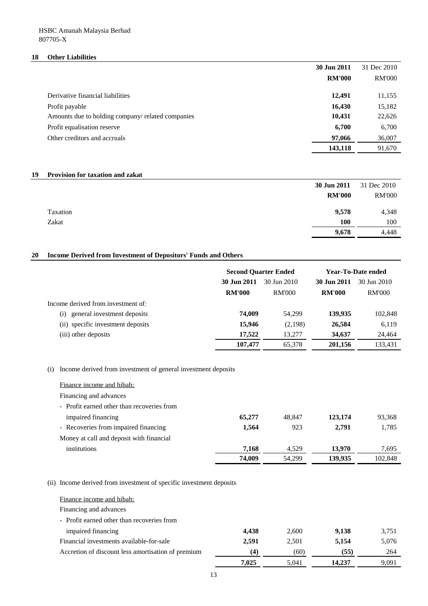## **18 Other Liabilities**

|                                                   | 30 Jun 2011   | 31 Dec 2010   |
|---------------------------------------------------|---------------|---------------|
|                                                   | <b>RM'000</b> | <b>RM'000</b> |
|                                                   |               |               |
| Derivative financial liabilities                  | 12,491        | 11,155        |
| Profit payable                                    | 16,430        | 15,182        |
| Amounts due to holding company/ related companies | 10,431        | 22,626        |
| Profit equalisation reserve                       | 6,700         | 6,700         |
| Other creditors and accruals                      | 97,066        | 36,007        |
|                                                   | 143,118       | 91,670        |

## **19 Provision for taxation and zakat**

|          | 30 Jun 2011   | 31 Dec 2010   |
|----------|---------------|---------------|
|          | <b>RM'000</b> | <b>RM'000</b> |
| Taxation | 9,578         | 4,348         |
| Zakat    | 100           | 100           |
|          | 9,678         | 4,448         |

## **20 Income Derived from Investment of Depositors' Funds and Others**

|                                    | <b>Second Quarter Ended</b> |               | <b>Year-To-Date ended</b> |               |
|------------------------------------|-----------------------------|---------------|---------------------------|---------------|
|                                    | 30 Jun 2011                 | 30 Jun 2010   | 30 Jun 2011               | 30 Jun 2010   |
|                                    | <b>RM'000</b>               | <b>RM'000</b> | <b>RM'000</b>             | <b>RM'000</b> |
| Income derived from investment of: |                             |               |                           |               |
| general investment deposits<br>(i) | 74,009                      | 54.299        | 139,935                   | 102,848       |
| (ii) specific investment deposits  | 15,946                      | (2,198)       | 26,584                    | 6,119         |
| (iii) other deposits               | 17.522                      | 13.277        | 34,637                    | 24,464        |
|                                    | 107,477                     | 65,378        | 201,156                   | 133,431       |

## (i) Income derived from investment of general investment deposits

| Finance income and hibah:                  |        |        |         |         |
|--------------------------------------------|--------|--------|---------|---------|
| Financing and advances                     |        |        |         |         |
| - Profit earned other than recoveries from |        |        |         |         |
| impaired financing                         | 65,277 | 48.847 | 123,174 | 93,368  |
| - Recoveries from impaired financing       | 1,564  | 923    | 2,791   | 1,785   |
| Money at call and deposit with financial   |        |        |         |         |
| institutions                               | 7,168  | 4,529  | 13.970  | 7.695   |
|                                            | 74,009 | 54,299 | 139,935 | 102.848 |

## (ii) Income derived from investment of specific investment deposits

| Finance income and hibah:                          |       |       |        |       |
|----------------------------------------------------|-------|-------|--------|-------|
| Financing and advances                             |       |       |        |       |
| - Profit earned other than recoveries from         |       |       |        |       |
| impaired financing                                 | 4.438 | 2,600 | 9,138  | 3,751 |
| Financial investments available-for-sale           | 2,591 | 2,501 | 5,154  | 5,076 |
| Accretion of discount less amortisation of premium | (4)   | (60)  | (55)   | 264   |
|                                                    | 7.025 | 5,041 | 14.237 | 9,091 |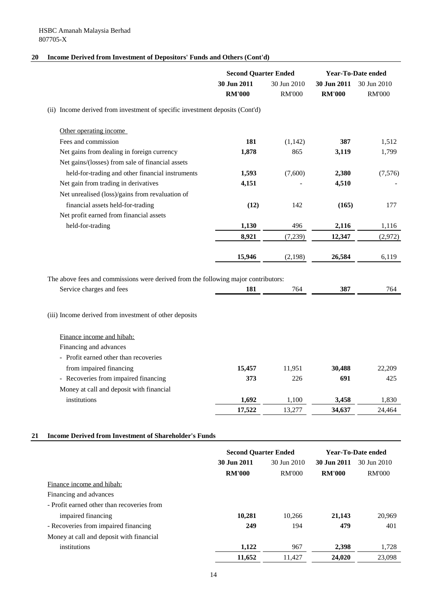## **20 Income Derived from Investment of Depositors' Funds and Others (Cont'd)**

|                                                                                    | <b>Second Quarter Ended</b>  |                              | <b>Year-To-Date ended</b>    |                              |
|------------------------------------------------------------------------------------|------------------------------|------------------------------|------------------------------|------------------------------|
|                                                                                    | 30 Jun 2011<br><b>RM'000</b> | 30 Jun 2010<br><b>RM'000</b> | 30 Jun 2011<br><b>RM'000</b> | 30 Jun 2010<br><b>RM'000</b> |
| (ii) Income derived from investment of specific investment deposits (Cont'd)       |                              |                              |                              |                              |
| Other operating income                                                             |                              |                              |                              |                              |
| Fees and commission                                                                | 181                          | (1, 142)                     | 387                          | 1,512                        |
| Net gains from dealing in foreign currency                                         | 1,878                        | 865                          | 3,119                        | 1,799                        |
| Net gains/(losses) from sale of financial assets                                   |                              |                              |                              |                              |
| held-for-trading and other financial instruments                                   | 1,593                        | (7,600)                      | 2,380                        | (7,576)                      |
| Net gain from trading in derivatives                                               | 4,151                        |                              | 4,510                        |                              |
| Net unrealised (loss)/gains from revaluation of                                    |                              |                              |                              |                              |
| financial assets held-for-trading                                                  | (12)                         | 142                          | (165)                        | 177                          |
| Net profit earned from financial assets                                            |                              |                              |                              |                              |
| held-for-trading                                                                   | 1,130                        | 496                          | 2,116                        | 1,116                        |
|                                                                                    | 8,921                        | (7,239)                      | 12,347                       | (2,972)                      |
|                                                                                    | 15,946                       | (2,198)                      | 26,584                       | 6,119                        |
|                                                                                    |                              |                              |                              |                              |
| The above fees and commissions were derived from the following major contributors: |                              |                              | 387                          |                              |
| Service charges and fees                                                           | 181                          | 764                          |                              | 764                          |
| (iii) Income derived from investment of other deposits                             |                              |                              |                              |                              |
| Finance income and hibah:                                                          |                              |                              |                              |                              |
| Financing and advances                                                             |                              |                              |                              |                              |
| - Profit earned other than recoveries                                              |                              |                              |                              |                              |
| from impaired financing                                                            | 15,457                       | 11,951                       | 30,488                       | 22,209                       |
| - Recoveries from impaired financing                                               | 373                          | 226                          | 691                          | 425                          |
| Money at call and deposit with financial                                           |                              |                              |                              |                              |
| institutions                                                                       | 1,692                        | 1,100                        | 3,458                        | 1,830                        |
|                                                                                    | 17,522                       | 13,277                       | 34,637                       | 24,464                       |

## **21 Income Derived from Investment of Shareholder's Funds**

|                                            | <b>Second Quarter Ended</b> |               | <b>Year-To-Date ended</b> |               |
|--------------------------------------------|-----------------------------|---------------|---------------------------|---------------|
|                                            | 30 Jun 2011                 | 30 Jun 2010   | 30 Jun 2011               | 30 Jun 2010   |
|                                            | <b>RM'000</b>               | <b>RM'000</b> | <b>RM'000</b>             | <b>RM'000</b> |
| Finance income and hibah:                  |                             |               |                           |               |
| Financing and advances                     |                             |               |                           |               |
| - Profit earned other than recoveries from |                             |               |                           |               |
| impaired financing                         | 10,281                      | 10,266        | 21,143                    | 20,969        |
| - Recoveries from impaired financing       | 249                         | 194           | 479                       | 401           |
| Money at call and deposit with financial   |                             |               |                           |               |
| institutions                               | 1,122                       | 967           | 2,398                     | 1,728         |
|                                            | 11,652                      | 11.427        | 24,020                    | 23,098        |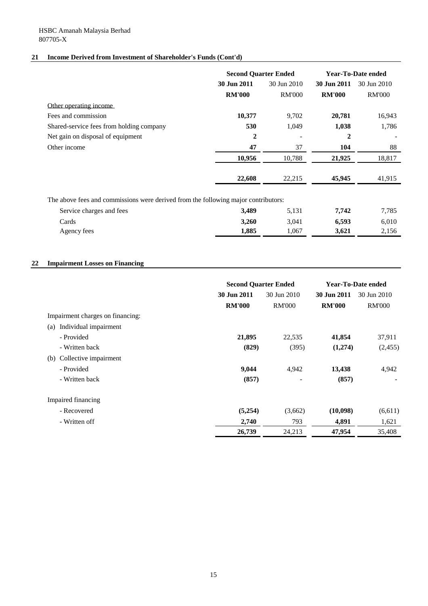## **21 Income Derived from Investment of Shareholder's Funds (Cont'd)**

|                                                                                    | <b>Second Quarter Ended</b> |               | Year-To-Date ended |               |
|------------------------------------------------------------------------------------|-----------------------------|---------------|--------------------|---------------|
|                                                                                    | 30 Jun 2011                 | 30 Jun 2010   | 30 Jun 2011        | 30 Jun 2010   |
|                                                                                    | <b>RM'000</b>               | <b>RM'000</b> | <b>RM'000</b>      | <b>RM'000</b> |
| Other operating income                                                             |                             |               |                    |               |
| Fees and commission                                                                | 10,377                      | 9,702         | 20,781             | 16,943        |
| Shared-service fees from holding company                                           | 530                         | 1,049         | 1,038              | 1,786         |
| Net gain on disposal of equipment                                                  | $\mathbf 2$                 |               | 2                  |               |
| Other income                                                                       | 47                          | 37            | 104                | 88            |
|                                                                                    | 10,956                      | 10,788        | 21,925             | 18,817        |
|                                                                                    | 22,608                      | 22,215        | 45,945             | 41,915        |
| The above fees and commissions were derived from the following major contributors: |                             |               |                    |               |
| Service charges and fees                                                           | 3,489                       | 5,131         | 7,742              | 7,785         |
| Cards                                                                              | 3,260                       | 3,041         | 6,593              | 6,010         |

Agency fees **1,885** 1,067 **3,621** 2,156

## **22 Impairment Losses on Financing**

|                                  | <b>Second Quarter Ended</b> |               | Year-To-Date ended |               |
|----------------------------------|-----------------------------|---------------|--------------------|---------------|
|                                  | 30 Jun 2011                 | 30 Jun 2010   | 30 Jun 2011        | 30 Jun 2010   |
|                                  | <b>RM'000</b>               | <b>RM'000</b> | <b>RM'000</b>      | <b>RM'000</b> |
| Impairment charges on financing: |                             |               |                    |               |
| Individual impairment<br>(a)     |                             |               |                    |               |
| - Provided                       | 21,895                      | 22,535        | 41,854             | 37,911        |
| - Written back                   | (829)                       | (395)         | (1,274)            | (2,455)       |
| Collective impairment<br>(b)     |                             |               |                    |               |
| - Provided                       | 9,044                       | 4,942         | 13,438             | 4,942         |
| - Written back                   | (857)                       |               | (857)              |               |
| Impaired financing               |                             |               |                    |               |
| - Recovered                      | (5,254)                     | (3,662)       | (10,098)           | (6,611)       |
| - Written off                    | 2,740                       | 793           | 4,891              | 1,621         |
|                                  | 26,739                      | 24,213        | 47,954             | 35,408        |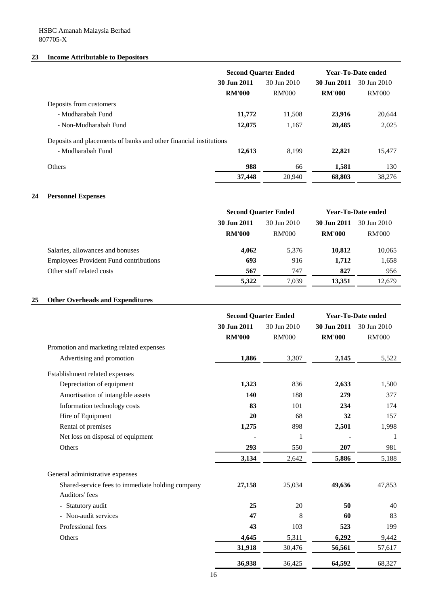## **23 Income Attributable to Depositors**

|                                                                   | <b>Second Quarter Ended</b> |             |               | <b>Year-To-Date ended</b> |
|-------------------------------------------------------------------|-----------------------------|-------------|---------------|---------------------------|
|                                                                   | 30 Jun 2011                 | 30 Jun 2010 | 30 Jun 2011   | 30 Jun 2010               |
|                                                                   | <b>RM'000</b>               | RM'000      | <b>RM'000</b> | RM'000                    |
| Deposits from customers                                           |                             |             |               |                           |
| - Mudharabah Fund                                                 | 11,772                      | 11,508      | 23,916        | 20.644                    |
| - Non-Mudharabah Fund                                             | 12,075                      | 1,167       | 20,485        | 2,025                     |
| Deposits and placements of banks and other financial institutions |                             |             |               |                           |
| - Mudharabah Fund                                                 | 12,613                      | 8.199       | 22,821        | 15,477                    |
| <b>Others</b>                                                     | 988                         | 66          | 1,581         | 130                       |
|                                                                   | 37,448                      | 20,940      | 68.803        | 38,276                    |

## **24 Personnel Expenses**

|                                               | <b>Second Quarter Ended</b> |             |               | <b>Year-To-Date ended</b> |
|-----------------------------------------------|-----------------------------|-------------|---------------|---------------------------|
|                                               | 30 Jun 2011                 | 30 Jun 2010 | 30 Jun 2011   | 30 Jun 2010               |
|                                               | <b>RM'000</b>               | RM'000      | <b>RM'000</b> | <b>RM'000</b>             |
| Salaries, allowances and bonuses              | 4,062                       | 5.376       | 10,812        | 10,065                    |
| <b>Employees Provident Fund contributions</b> | 693                         | 916         | 1,712         | 1,658                     |
| Other staff related costs                     | 567                         | 747         | 827           | 956                       |
|                                               | 5,322                       | 7.039       | 13,351        | 12,679                    |

## **25 Other Overheads and Expenditures**

|                                                                    |                              | <b>Second Quarter Ended</b>  | <b>Year-To-Date ended</b>    |                              |  |
|--------------------------------------------------------------------|------------------------------|------------------------------|------------------------------|------------------------------|--|
|                                                                    | 30 Jun 2011<br><b>RM'000</b> | 30 Jun 2010<br><b>RM'000</b> | 30 Jun 2011<br><b>RM'000</b> | 30 Jun 2010<br><b>RM'000</b> |  |
| Promotion and marketing related expenses                           |                              |                              |                              |                              |  |
| Advertising and promotion                                          | 1,886                        | 3,307                        | 2,145                        | 5,522                        |  |
| Establishment related expenses                                     |                              |                              |                              |                              |  |
| Depreciation of equipment                                          | 1,323                        | 836                          | 2,633                        | 1,500                        |  |
| Amortisation of intangible assets                                  | 140                          | 188                          | 279                          | 377                          |  |
| Information technology costs                                       | 83                           | 101                          | 234                          | 174                          |  |
| Hire of Equipment                                                  | 20                           | 68                           | 32                           | 157                          |  |
| Rental of premises                                                 | 1,275                        | 898                          | 2,501                        | 1,998                        |  |
| Net loss on disposal of equipment                                  |                              | 1                            |                              | -1                           |  |
| Others                                                             | 293                          | 550                          | 207                          | 981                          |  |
|                                                                    | 3,134                        | 2,642                        | 5,886                        | 5,188                        |  |
| General administrative expenses                                    |                              |                              |                              |                              |  |
| Shared-service fees to immediate holding company<br>Auditors' fees | 27,158                       | 25,034                       | 49,636                       | 47,853                       |  |
| Statutory audit                                                    | 25                           | 20                           | 50                           | 40                           |  |
| - Non-audit services                                               | 47                           | 8                            | 60                           | 83                           |  |
| Professional fees                                                  | 43                           | 103                          | 523                          | 199                          |  |
| Others                                                             | 4,645                        | 5,311                        | 6,292                        | 9,442                        |  |
|                                                                    | 31,918                       | 30,476                       | 56,561                       | 57,617                       |  |
|                                                                    | 36,938                       | 36,425                       | 64,592                       | 68,327                       |  |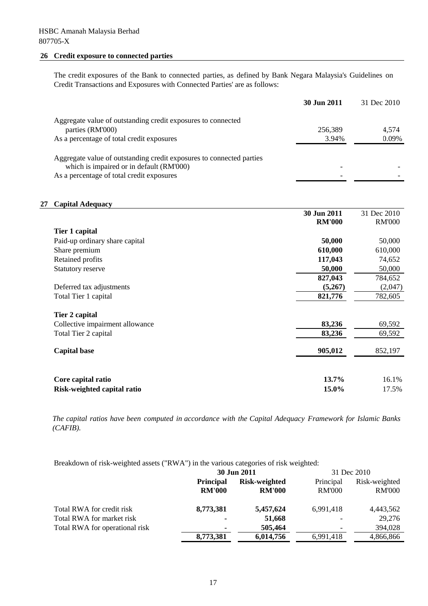# **26 Credit exposure to connected parties**

The credit exposures of the Bank to connected parties, as defined by Bank Negara Malaysia's Guidelines on Credit Transactions and Exposures with Connected Parties' are as follows:

|                                                                      | 30 Jun 2011 | 31 Dec 2010 |
|----------------------------------------------------------------------|-------------|-------------|
| Aggregate value of outstanding credit exposures to connected         |             |             |
|                                                                      |             |             |
| parties (RM'000)                                                     | 256,389     | 4.574       |
| As a percentage of total credit exposures                            | 3.94%       | 0.09%       |
|                                                                      |             |             |
| Aggregate value of outstanding credit exposures to connected parties |             |             |
| which is impaired or in default (RM'000)                             |             |             |
| As a percentage of total credit exposures                            |             |             |

## **27 Capital Adequacy**

|                                 | 30 Jun 2011   | 31 Dec 2010   |
|---------------------------------|---------------|---------------|
|                                 | <b>RM'000</b> | <b>RM'000</b> |
| Tier 1 capital                  |               |               |
| Paid-up ordinary share capital  | 50,000        | 50,000        |
| Share premium                   | 610,000       | 610,000       |
| Retained profits                | 117,043       | 74,652        |
| <b>Statutory reserve</b>        | 50,000        | 50,000        |
|                                 | 827,043       | 784,652       |
| Deferred tax adjustments        | (5,267)       | (2,047)       |
| Total Tier 1 capital            | 821,776       | 782,605       |
|                                 |               |               |
| Tier 2 capital                  |               |               |
| Collective impairment allowance | 83,236        | 69,592        |
| Total Tier 2 capital            | 83,236        | 69,592        |
|                                 |               |               |
| <b>Capital base</b>             | 905,012       | 852,197       |
|                                 |               |               |
|                                 |               |               |
| Core capital ratio              | $13.7\%$      | 16.1%         |
| Risk-weighted capital ratio     | 15.0%         | 17.5%         |

*The capital ratios have been computed in accordance with the Capital Adequacy Framework for Islamic Banks (CAFIB).*

Breakdown of risk-weighted assets ("RWA") in the various categories of risk weighted:

|                                | 30 Jun 2011                       |                                | 31 Dec 2010                |                                |
|--------------------------------|-----------------------------------|--------------------------------|----------------------------|--------------------------------|
|                                | <b>Principal</b><br><b>RM'000</b> | Risk-weighted<br><b>RM'000</b> | Principal<br><b>RM'000</b> | Risk-weighted<br><b>RM'000</b> |
| Total RWA for credit risk      | 8,773,381                         | 5,457,624                      | 6,991,418                  | 4,443,562                      |
| Total RWA for market risk      | $\blacksquare$                    | 51,668                         |                            | 29,276                         |
| Total RWA for operational risk | $\blacksquare$                    | 505,464                        | -                          | 394,028                        |
|                                | 8,773,381                         | 6,014,756                      | 6.991.418                  | 4,866,866                      |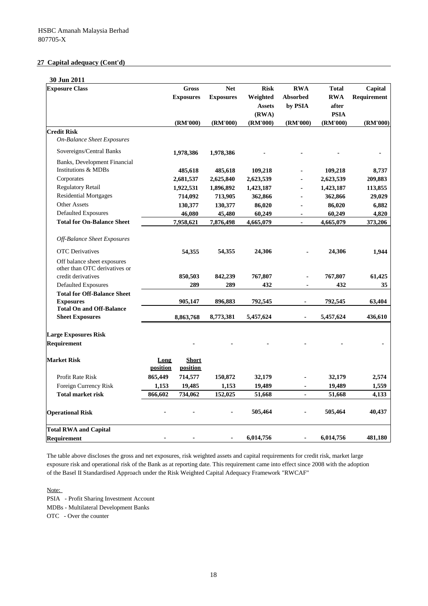### **27 Capital adequacy (Cont'd)**

| Weighted<br><b>Absorbed</b><br><b>RWA</b><br>Requirement<br><b>Exposures</b><br><b>Exposures</b><br>by PSIA<br><b>Assets</b><br>after<br>(RWA)<br><b>PSIA</b><br>(RM'000)<br>(RM'000)<br>(RM'000)<br>(RM'000)<br>(RM'000)<br>(RM'000)<br><b>On-Balance Sheet Exposures</b><br>Sovereigns/Central Banks<br>1,978,386<br>1,978,386<br>Banks, Development Financial<br>Institutions & MDBs<br>485,618<br>485,618<br>109,218<br>109,218<br>Corporates<br>2,681,537<br>2,625,840<br>2,623,539<br>2,623,539<br><b>Regulatory Retail</b><br>1,922,531<br>1,896,892<br>1,423,187<br>1,423,187<br>113,855<br>L.<br><b>Residential Mortgages</b><br>714,092<br>713,905<br>362,866<br>29,029<br>362,866<br><b>Other Assets</b><br>130,377<br>130,377<br>6,882<br>86,020<br>86,020<br><b>Defaulted Exposures</b><br>60,249<br>4,820<br>46,080<br>45,480<br>60,249<br><b>Total for On-Balance Sheet</b><br>7,958,621<br>7,876,498<br>4,665,079<br>4,665,079<br>$\overline{a}$<br>Off-Balance Sheet Exposures<br><b>OTC</b> Derivatives<br>54,355<br>24,306<br>24,306<br>54,355<br>Off balance sheet exposures<br>other than OTC derivatives or<br>credit derivatives<br>850,503<br>842,239<br>767,807<br>767,807<br>61,425<br><b>Defaulted Exposures</b><br>289<br>289<br>432<br>432<br>35<br>$\blacksquare$<br><b>Total for Off-Balance Sheet</b><br><b>Exposures</b><br>905,147<br>896,883<br>792,545<br>792,545<br>63,404<br><b>Total On and Off-Balance</b><br><b>Sheet Exposures</b><br>5,457,624<br>5,457,624<br>8,773,381<br>8,863,768<br><b>Large Exposures Risk</b><br>Requirement<br><b>Short</b><br>Long<br><b>position</b><br>position<br>865,449<br>714,577<br>32,179<br>2,574<br>Profit Rate Risk<br>150,872<br>32,179<br>Foreign Currency Risk<br>1,153<br>19,485<br>1,153<br>19,489<br>1,559<br>19,489<br><b>Total market risk</b><br>866,602<br>51,668<br>734,062<br>152,025<br>51,668<br>4,133<br>505,464<br>505,464<br>40,437<br>6,014,756<br>6,014,756<br>$\blacksquare$ | 30 Jun 2011                  | <b>Gross</b> | <b>Net</b> | <b>Risk</b> | <b>RWA</b> | <b>Total</b> |         |
|---------------------------------------------------------------------------------------------------------------------------------------------------------------------------------------------------------------------------------------------------------------------------------------------------------------------------------------------------------------------------------------------------------------------------------------------------------------------------------------------------------------------------------------------------------------------------------------------------------------------------------------------------------------------------------------------------------------------------------------------------------------------------------------------------------------------------------------------------------------------------------------------------------------------------------------------------------------------------------------------------------------------------------------------------------------------------------------------------------------------------------------------------------------------------------------------------------------------------------------------------------------------------------------------------------------------------------------------------------------------------------------------------------------------------------------------------------------------------------------------------------------------------------------------------------------------------------------------------------------------------------------------------------------------------------------------------------------------------------------------------------------------------------------------------------------------------------------------------------------------------------------------------------------------------------------------------------------------------------|------------------------------|--------------|------------|-------------|------------|--------------|---------|
|                                                                                                                                                                                                                                                                                                                                                                                                                                                                                                                                                                                                                                                                                                                                                                                                                                                                                                                                                                                                                                                                                                                                                                                                                                                                                                                                                                                                                                                                                                                                                                                                                                                                                                                                                                                                                                                                                                                                                                                 | <b>Exposure Class</b>        |              |            |             |            |              | Capital |
|                                                                                                                                                                                                                                                                                                                                                                                                                                                                                                                                                                                                                                                                                                                                                                                                                                                                                                                                                                                                                                                                                                                                                                                                                                                                                                                                                                                                                                                                                                                                                                                                                                                                                                                                                                                                                                                                                                                                                                                 |                              |              |            |             |            |              |         |
|                                                                                                                                                                                                                                                                                                                                                                                                                                                                                                                                                                                                                                                                                                                                                                                                                                                                                                                                                                                                                                                                                                                                                                                                                                                                                                                                                                                                                                                                                                                                                                                                                                                                                                                                                                                                                                                                                                                                                                                 |                              |              |            |             |            |              |         |
|                                                                                                                                                                                                                                                                                                                                                                                                                                                                                                                                                                                                                                                                                                                                                                                                                                                                                                                                                                                                                                                                                                                                                                                                                                                                                                                                                                                                                                                                                                                                                                                                                                                                                                                                                                                                                                                                                                                                                                                 |                              |              |            |             |            |              |         |
|                                                                                                                                                                                                                                                                                                                                                                                                                                                                                                                                                                                                                                                                                                                                                                                                                                                                                                                                                                                                                                                                                                                                                                                                                                                                                                                                                                                                                                                                                                                                                                                                                                                                                                                                                                                                                                                                                                                                                                                 | <b>Credit Risk</b>           |              |            |             |            |              |         |
|                                                                                                                                                                                                                                                                                                                                                                                                                                                                                                                                                                                                                                                                                                                                                                                                                                                                                                                                                                                                                                                                                                                                                                                                                                                                                                                                                                                                                                                                                                                                                                                                                                                                                                                                                                                                                                                                                                                                                                                 |                              |              |            |             |            |              |         |
|                                                                                                                                                                                                                                                                                                                                                                                                                                                                                                                                                                                                                                                                                                                                                                                                                                                                                                                                                                                                                                                                                                                                                                                                                                                                                                                                                                                                                                                                                                                                                                                                                                                                                                                                                                                                                                                                                                                                                                                 |                              |              |            |             |            |              |         |
|                                                                                                                                                                                                                                                                                                                                                                                                                                                                                                                                                                                                                                                                                                                                                                                                                                                                                                                                                                                                                                                                                                                                                                                                                                                                                                                                                                                                                                                                                                                                                                                                                                                                                                                                                                                                                                                                                                                                                                                 |                              |              |            |             |            |              |         |
|                                                                                                                                                                                                                                                                                                                                                                                                                                                                                                                                                                                                                                                                                                                                                                                                                                                                                                                                                                                                                                                                                                                                                                                                                                                                                                                                                                                                                                                                                                                                                                                                                                                                                                                                                                                                                                                                                                                                                                                 |                              |              |            |             |            |              | 8,737   |
|                                                                                                                                                                                                                                                                                                                                                                                                                                                                                                                                                                                                                                                                                                                                                                                                                                                                                                                                                                                                                                                                                                                                                                                                                                                                                                                                                                                                                                                                                                                                                                                                                                                                                                                                                                                                                                                                                                                                                                                 |                              |              |            |             |            |              | 209,883 |
|                                                                                                                                                                                                                                                                                                                                                                                                                                                                                                                                                                                                                                                                                                                                                                                                                                                                                                                                                                                                                                                                                                                                                                                                                                                                                                                                                                                                                                                                                                                                                                                                                                                                                                                                                                                                                                                                                                                                                                                 |                              |              |            |             |            |              |         |
|                                                                                                                                                                                                                                                                                                                                                                                                                                                                                                                                                                                                                                                                                                                                                                                                                                                                                                                                                                                                                                                                                                                                                                                                                                                                                                                                                                                                                                                                                                                                                                                                                                                                                                                                                                                                                                                                                                                                                                                 |                              |              |            |             |            |              |         |
|                                                                                                                                                                                                                                                                                                                                                                                                                                                                                                                                                                                                                                                                                                                                                                                                                                                                                                                                                                                                                                                                                                                                                                                                                                                                                                                                                                                                                                                                                                                                                                                                                                                                                                                                                                                                                                                                                                                                                                                 |                              |              |            |             |            |              |         |
|                                                                                                                                                                                                                                                                                                                                                                                                                                                                                                                                                                                                                                                                                                                                                                                                                                                                                                                                                                                                                                                                                                                                                                                                                                                                                                                                                                                                                                                                                                                                                                                                                                                                                                                                                                                                                                                                                                                                                                                 |                              |              |            |             |            |              |         |
|                                                                                                                                                                                                                                                                                                                                                                                                                                                                                                                                                                                                                                                                                                                                                                                                                                                                                                                                                                                                                                                                                                                                                                                                                                                                                                                                                                                                                                                                                                                                                                                                                                                                                                                                                                                                                                                                                                                                                                                 |                              |              |            |             |            |              | 373,206 |
|                                                                                                                                                                                                                                                                                                                                                                                                                                                                                                                                                                                                                                                                                                                                                                                                                                                                                                                                                                                                                                                                                                                                                                                                                                                                                                                                                                                                                                                                                                                                                                                                                                                                                                                                                                                                                                                                                                                                                                                 |                              |              |            |             |            |              |         |
|                                                                                                                                                                                                                                                                                                                                                                                                                                                                                                                                                                                                                                                                                                                                                                                                                                                                                                                                                                                                                                                                                                                                                                                                                                                                                                                                                                                                                                                                                                                                                                                                                                                                                                                                                                                                                                                                                                                                                                                 |                              |              |            |             |            |              |         |
|                                                                                                                                                                                                                                                                                                                                                                                                                                                                                                                                                                                                                                                                                                                                                                                                                                                                                                                                                                                                                                                                                                                                                                                                                                                                                                                                                                                                                                                                                                                                                                                                                                                                                                                                                                                                                                                                                                                                                                                 |                              |              |            |             |            |              | 1,944   |
|                                                                                                                                                                                                                                                                                                                                                                                                                                                                                                                                                                                                                                                                                                                                                                                                                                                                                                                                                                                                                                                                                                                                                                                                                                                                                                                                                                                                                                                                                                                                                                                                                                                                                                                                                                                                                                                                                                                                                                                 |                              |              |            |             |            |              |         |
|                                                                                                                                                                                                                                                                                                                                                                                                                                                                                                                                                                                                                                                                                                                                                                                                                                                                                                                                                                                                                                                                                                                                                                                                                                                                                                                                                                                                                                                                                                                                                                                                                                                                                                                                                                                                                                                                                                                                                                                 |                              |              |            |             |            |              |         |
|                                                                                                                                                                                                                                                                                                                                                                                                                                                                                                                                                                                                                                                                                                                                                                                                                                                                                                                                                                                                                                                                                                                                                                                                                                                                                                                                                                                                                                                                                                                                                                                                                                                                                                                                                                                                                                                                                                                                                                                 |                              |              |            |             |            |              |         |
|                                                                                                                                                                                                                                                                                                                                                                                                                                                                                                                                                                                                                                                                                                                                                                                                                                                                                                                                                                                                                                                                                                                                                                                                                                                                                                                                                                                                                                                                                                                                                                                                                                                                                                                                                                                                                                                                                                                                                                                 |                              |              |            |             |            |              |         |
|                                                                                                                                                                                                                                                                                                                                                                                                                                                                                                                                                                                                                                                                                                                                                                                                                                                                                                                                                                                                                                                                                                                                                                                                                                                                                                                                                                                                                                                                                                                                                                                                                                                                                                                                                                                                                                                                                                                                                                                 |                              |              |            |             |            |              |         |
|                                                                                                                                                                                                                                                                                                                                                                                                                                                                                                                                                                                                                                                                                                                                                                                                                                                                                                                                                                                                                                                                                                                                                                                                                                                                                                                                                                                                                                                                                                                                                                                                                                                                                                                                                                                                                                                                                                                                                                                 |                              |              |            |             |            |              |         |
|                                                                                                                                                                                                                                                                                                                                                                                                                                                                                                                                                                                                                                                                                                                                                                                                                                                                                                                                                                                                                                                                                                                                                                                                                                                                                                                                                                                                                                                                                                                                                                                                                                                                                                                                                                                                                                                                                                                                                                                 |                              |              |            |             |            |              | 436,610 |
|                                                                                                                                                                                                                                                                                                                                                                                                                                                                                                                                                                                                                                                                                                                                                                                                                                                                                                                                                                                                                                                                                                                                                                                                                                                                                                                                                                                                                                                                                                                                                                                                                                                                                                                                                                                                                                                                                                                                                                                 |                              |              |            |             |            |              |         |
|                                                                                                                                                                                                                                                                                                                                                                                                                                                                                                                                                                                                                                                                                                                                                                                                                                                                                                                                                                                                                                                                                                                                                                                                                                                                                                                                                                                                                                                                                                                                                                                                                                                                                                                                                                                                                                                                                                                                                                                 |                              |              |            |             |            |              |         |
|                                                                                                                                                                                                                                                                                                                                                                                                                                                                                                                                                                                                                                                                                                                                                                                                                                                                                                                                                                                                                                                                                                                                                                                                                                                                                                                                                                                                                                                                                                                                                                                                                                                                                                                                                                                                                                                                                                                                                                                 |                              |              |            |             |            |              |         |
|                                                                                                                                                                                                                                                                                                                                                                                                                                                                                                                                                                                                                                                                                                                                                                                                                                                                                                                                                                                                                                                                                                                                                                                                                                                                                                                                                                                                                                                                                                                                                                                                                                                                                                                                                                                                                                                                                                                                                                                 | <b>Market Risk</b>           |              |            |             |            |              |         |
|                                                                                                                                                                                                                                                                                                                                                                                                                                                                                                                                                                                                                                                                                                                                                                                                                                                                                                                                                                                                                                                                                                                                                                                                                                                                                                                                                                                                                                                                                                                                                                                                                                                                                                                                                                                                                                                                                                                                                                                 |                              |              |            |             |            |              |         |
|                                                                                                                                                                                                                                                                                                                                                                                                                                                                                                                                                                                                                                                                                                                                                                                                                                                                                                                                                                                                                                                                                                                                                                                                                                                                                                                                                                                                                                                                                                                                                                                                                                                                                                                                                                                                                                                                                                                                                                                 |                              |              |            |             |            |              |         |
|                                                                                                                                                                                                                                                                                                                                                                                                                                                                                                                                                                                                                                                                                                                                                                                                                                                                                                                                                                                                                                                                                                                                                                                                                                                                                                                                                                                                                                                                                                                                                                                                                                                                                                                                                                                                                                                                                                                                                                                 |                              |              |            |             |            |              |         |
|                                                                                                                                                                                                                                                                                                                                                                                                                                                                                                                                                                                                                                                                                                                                                                                                                                                                                                                                                                                                                                                                                                                                                                                                                                                                                                                                                                                                                                                                                                                                                                                                                                                                                                                                                                                                                                                                                                                                                                                 |                              |              |            |             |            |              |         |
|                                                                                                                                                                                                                                                                                                                                                                                                                                                                                                                                                                                                                                                                                                                                                                                                                                                                                                                                                                                                                                                                                                                                                                                                                                                                                                                                                                                                                                                                                                                                                                                                                                                                                                                                                                                                                                                                                                                                                                                 |                              |              |            |             |            |              |         |
|                                                                                                                                                                                                                                                                                                                                                                                                                                                                                                                                                                                                                                                                                                                                                                                                                                                                                                                                                                                                                                                                                                                                                                                                                                                                                                                                                                                                                                                                                                                                                                                                                                                                                                                                                                                                                                                                                                                                                                                 | <b>Operational Risk</b>      |              |            |             |            |              |         |
|                                                                                                                                                                                                                                                                                                                                                                                                                                                                                                                                                                                                                                                                                                                                                                                                                                                                                                                                                                                                                                                                                                                                                                                                                                                                                                                                                                                                                                                                                                                                                                                                                                                                                                                                                                                                                                                                                                                                                                                 | <b>Total RWA and Capital</b> |              |            |             |            |              |         |
|                                                                                                                                                                                                                                                                                                                                                                                                                                                                                                                                                                                                                                                                                                                                                                                                                                                                                                                                                                                                                                                                                                                                                                                                                                                                                                                                                                                                                                                                                                                                                                                                                                                                                                                                                                                                                                                                                                                                                                                 | Requirement                  |              |            |             |            |              | 481,180 |

The table above discloses the gross and net exposures, risk weighted assets and capital requirements for credit risk, market large exposure risk and operational risk of the Bank as at reporting date. This requirement came into effect since 2008 with the adoption of the Basel II Standardised Approach under the Risk Weighted Capital Adequacy Framework "RWCAF"

Note:

PSIA - Profit Sharing Investment Account

MDBs - Multilateral Development Banks

OTC - Over the counter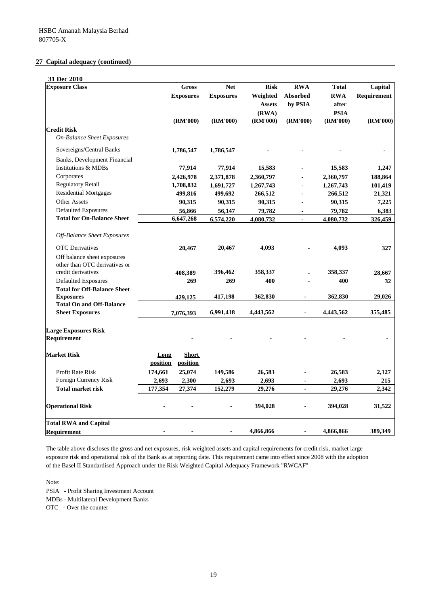## **27 Capital adequacy (continued)**

| 31 Dec 2010                                         |                  |                          |                  |               |                          |              |             |
|-----------------------------------------------------|------------------|--------------------------|------------------|---------------|--------------------------|--------------|-------------|
| <b>Exposure Class</b>                               |                  | <b>Gross</b>             | <b>Net</b>       | <b>Risk</b>   | <b>RWA</b>               | <b>Total</b> | Capital     |
|                                                     |                  | <b>Exposures</b>         | <b>Exposures</b> | Weighted      | Absorbed                 | <b>RWA</b>   | Requirement |
|                                                     |                  |                          |                  | <b>Assets</b> | by PSIA                  | after        |             |
|                                                     |                  |                          |                  | (RWA)         |                          | <b>PSIA</b>  |             |
|                                                     |                  | (RM'000)                 | (RM'000)         | (RM'000)      | (RM'000)                 | (RM'000)     | (RM'000)    |
| <b>Credit Risk</b>                                  |                  |                          |                  |               |                          |              |             |
| <b>On-Balance Sheet Exposures</b>                   |                  |                          |                  |               |                          |              |             |
| Sovereigns/Central Banks                            |                  | 1,786,547                | 1,786,547        |               |                          |              |             |
| Banks, Development Financial                        |                  |                          |                  |               |                          |              |             |
| <b>Institutions &amp; MDBs</b>                      |                  | 77,914                   | 77,914           | 15,583        |                          | 15,583       | 1,247       |
| Corporates                                          |                  | 2,426,978                | 2,371,878        | 2,360,797     |                          | 2,360,797    | 188,864     |
| <b>Regulatory Retail</b>                            |                  | 1,708,832                | 1,691,727        | 1,267,743     | ÷.                       | 1,267,743    | 101,419     |
| <b>Residential Mortgages</b>                        |                  | 499,816                  | 499,692          | 266,512       | ä,                       | 266,512      | 21,321      |
| <b>Other Assets</b>                                 |                  | 90,315                   | 90,315           | 90,315        |                          | 90,315       | 7,225       |
| <b>Defaulted Exposures</b>                          |                  | 56,866                   | 56,147           | 79,782        | ٠                        | 79,782       | 6,383       |
| <b>Total for On-Balance Sheet</b>                   |                  | 6,647,268                | 6,574,220        | 4,080,732     | $\overline{\phantom{a}}$ | 4,080,732    | 326,459     |
|                                                     |                  |                          |                  |               |                          |              |             |
| Off-Balance Sheet Exposures                         |                  |                          |                  |               |                          |              |             |
| <b>OTC</b> Derivatives                              |                  | 20,467                   | 20,467           | 4.093         |                          | 4.093        | 327         |
| Off balance sheet exposures                         |                  |                          |                  |               |                          |              |             |
| other than OTC derivatives or<br>credit derivatives |                  | 408,389                  | 396,462          | 358,337       |                          | 358,337      | 28,667      |
| <b>Defaulted Exposures</b>                          |                  | 269                      | 269              | 400           | ä,                       | 400          | 32          |
| <b>Total for Off-Balance Sheet</b>                  |                  |                          |                  |               |                          |              |             |
| <b>Exposures</b>                                    |                  | 429,125                  | 417,198          | 362,830       | $\blacksquare$           | 362,830      | 29,026      |
| <b>Total On and Off-Balance</b>                     |                  |                          |                  |               |                          |              |             |
| <b>Sheet Exposures</b>                              |                  | 7,076,393                | 6,991,418        | 4,443,562     |                          | 4,443,562    | 355,485     |
| <b>Large Exposures Risk</b>                         |                  |                          |                  |               |                          |              |             |
| <b>Requirement</b>                                  |                  |                          |                  |               |                          |              |             |
| <b>Market Risk</b>                                  | Long<br>position | <b>Short</b><br>position |                  |               |                          |              |             |
| Profit Rate Risk                                    | 174,661          | 25,074                   | 149,586          | 26,583        |                          | 26,583       | 2,127       |
| Foreign Currency Risk                               | 2,693            | 2,300                    | 2,693            | 2,693         |                          | 2,693        | 215         |
| <b>Total market risk</b>                            | 177,354          | 27,374                   | 152,279          | 29,276        |                          | 29,276       | 2,342       |
| <b>Operational Risk</b>                             |                  |                          |                  | 394,028       |                          | 394,028      | 31,522      |
| <b>Total RWA and Capital</b>                        |                  |                          |                  |               |                          |              |             |
| <b>Requirement</b>                                  |                  |                          |                  | 4,866,866     | ٠                        | 4,866,866    | 389,349     |

The table above discloses the gross and net exposures, risk weighted assets and capital requirements for credit risk, market large exposure risk and operational risk of the Bank as at reporting date. This requirement came into effect since 2008 with the adoption of the Basel II Standardised Approach under the Risk Weighted Capital Adequacy Framework "RWCAF"

Note:

PSIA - Profit Sharing Investment Account

MDBs - Multilateral Development Banks

OTC - Over the counter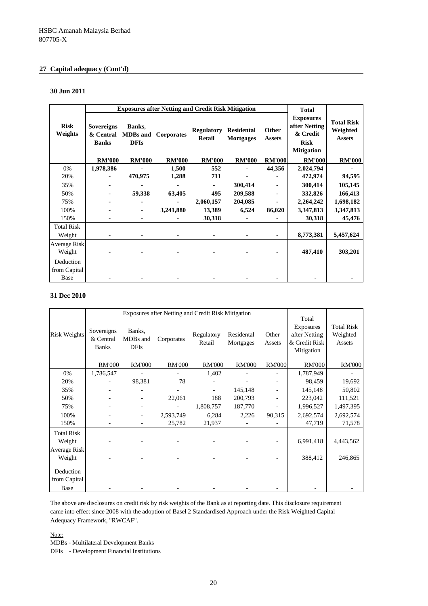## **27 Capital adequacy (Cont'd)**

#### **30 Jun 2011**

|                                   |                                                |                                          | <b>Exposures after Netting and Credit Risk Mitigation</b> |                             |                                       |                        | <b>Total</b>                                                                      |                                                |
|-----------------------------------|------------------------------------------------|------------------------------------------|-----------------------------------------------------------|-----------------------------|---------------------------------------|------------------------|-----------------------------------------------------------------------------------|------------------------------------------------|
| <b>Risk</b><br>Weights            | <b>Sovereigns</b><br>& Central<br><b>Banks</b> | Banks,<br><b>MDBs</b> and<br><b>DFIs</b> | Corporates                                                | <b>Regulatory</b><br>Retail | <b>Residental</b><br><b>Mortgages</b> | Other<br><b>Assets</b> | <b>Exposures</b><br>after Netting<br>& Credit<br><b>Risk</b><br><b>Mitigation</b> | <b>Total Risk</b><br>Weighted<br><b>Assets</b> |
|                                   | <b>RM'000</b>                                  | <b>RM'000</b>                            | <b>RM'000</b>                                             | <b>RM'000</b>               | <b>RM'000</b>                         | <b>RM'000</b>          | <b>RM'000</b>                                                                     | <b>RM'000</b>                                  |
| 0%                                | 1,978,386                                      |                                          | 1,500                                                     | 552                         |                                       | 44,356                 | 2,024,794                                                                         |                                                |
| 20%                               |                                                | 470,975                                  | 1,288                                                     | 711                         |                                       |                        | 472,974                                                                           | 94,595                                         |
| 35%                               |                                                |                                          |                                                           | ٠                           | 300,414                               |                        | 300,414                                                                           | 105,145                                        |
| 50%                               |                                                | 59,338                                   | 63,405                                                    | 495                         | 209,588                               |                        | 332,826                                                                           | 166,413                                        |
| 75%                               |                                                |                                          |                                                           | 2,060,157                   | 204,085                               |                        | 2,264,242                                                                         | 1,698,182                                      |
| 100%                              |                                                |                                          | 3,241,880                                                 | 13,389                      | 6,524                                 | 86,020                 | 3,347,813                                                                         | 3,347,813                                      |
| 150%                              |                                                |                                          |                                                           | 30,318                      |                                       |                        | 30,318                                                                            | 45,476                                         |
| <b>Total Risk</b>                 |                                                |                                          |                                                           |                             |                                       |                        |                                                                                   |                                                |
| Weight                            |                                                |                                          |                                                           |                             |                                       |                        | 8,773,381                                                                         | 5,457,624                                      |
| <b>Average Risk</b>               |                                                |                                          |                                                           |                             |                                       |                        |                                                                                   |                                                |
| Weight                            |                                                |                                          |                                                           |                             |                                       |                        | 487,410                                                                           | 303,201                                        |
| Deduction<br>from Capital<br>Base |                                                |                                          |                                                           |                             |                                       |                        |                                                                                   |                                                |

## **31 Dec 2010**

|                           |                                         |                                   | Exposures after Netting and Credit Risk Mitigation |                      |                         |                 |                                                                           |                                         |
|---------------------------|-----------------------------------------|-----------------------------------|----------------------------------------------------|----------------------|-------------------------|-----------------|---------------------------------------------------------------------------|-----------------------------------------|
| <b>Risk Weights</b>       | Sovereigns<br>& Central<br><b>Banks</b> | Banks,<br>MDBs and<br><b>DFIs</b> | Corporates                                         | Regulatory<br>Retail | Residental<br>Mortgages | Other<br>Assets | Total<br><b>Exposures</b><br>after Netting<br>& Credit Risk<br>Mitigation | <b>Total Risk</b><br>Weighted<br>Assets |
|                           | <b>RM'000</b>                           | <b>RM'000</b>                     | <b>RM'000</b>                                      | <b>RM'000</b>        | <b>RM'000</b>           | <b>RM'000</b>   | <b>RM'000</b>                                                             | <b>RM'000</b>                           |
| 0%                        | 1,786,547                               |                                   |                                                    | 1,402                |                         |                 | 1,787,949                                                                 |                                         |
| 20%                       |                                         | 98,381                            | 78                                                 |                      |                         |                 | 98,459                                                                    | 19,692                                  |
| 35%                       |                                         |                                   |                                                    |                      | 145,148                 |                 | 145,148                                                                   | 50,802                                  |
| 50%                       |                                         |                                   | 22,061                                             | 188                  | 200,793                 |                 | 223,042                                                                   | 111,521                                 |
| 75%                       |                                         |                                   |                                                    | 1,808,757            | 187,770                 | -               | 1,996,527                                                                 | 1,497,395                               |
| 100%                      |                                         |                                   | 2,593,749                                          | 6,284                | 2,226                   | 90,315          | 2,692,574                                                                 | 2,692,574                               |
| 150%                      |                                         |                                   | 25,782                                             | 21,937               |                         |                 | 47,719                                                                    | 71,578                                  |
| <b>Total Risk</b>         |                                         |                                   |                                                    |                      |                         |                 |                                                                           |                                         |
| Weight                    |                                         |                                   |                                                    |                      |                         |                 | 6,991,418                                                                 | 4,443,562                               |
| <b>Average Risk</b>       |                                         |                                   |                                                    |                      |                         |                 |                                                                           |                                         |
| Weight                    |                                         |                                   |                                                    |                      |                         |                 | 388,412                                                                   | 246,865                                 |
| Deduction<br>from Capital |                                         |                                   |                                                    |                      |                         |                 |                                                                           |                                         |
| Base                      |                                         |                                   |                                                    |                      |                         |                 |                                                                           |                                         |

The above are disclosures on credit risk by risk weights of the Bank as at reporting date. This disclosure requirement came into effect since 2008 with the adoption of Basel 2 Standardised Approach under the Risk Weighted Capital Adequacy Framework, "RWCAF".

Note:

MDBs - Multilateral Development Banks

DFIs - Development Financial Institutions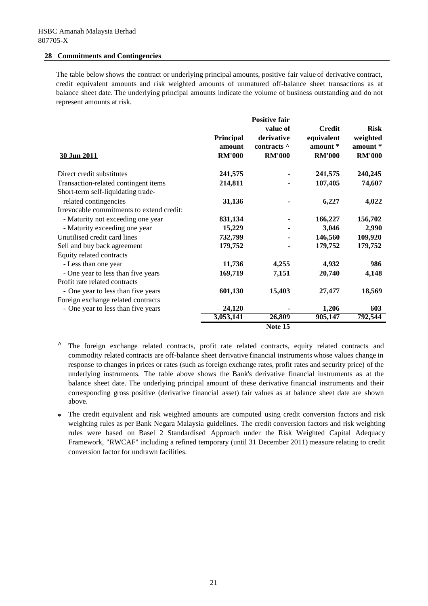## **28 Commitments and Contingencies**

The table below shows the contract or underlying principal amounts, positive fair value of derivative contract, credit equivalent amounts and risk weighted amounts of unmatured off-balance sheet transactions as at balance sheet date. The underlying principal amounts indicate the volume of business outstanding and do not represent amounts at risk.

| 30 Jun 2011                                                                | <b>Principal</b><br>amount<br><b>RM'000</b> | <b>Positive fair</b><br>value of<br>derivative<br>contracts $\wedge$<br><b>RM'000</b> | <b>Credit</b><br>equivalent<br>amount *<br><b>RM'000</b> | <b>Risk</b><br>weighted<br>amount *<br><b>RM'000</b> |
|----------------------------------------------------------------------------|---------------------------------------------|---------------------------------------------------------------------------------------|----------------------------------------------------------|------------------------------------------------------|
| Direct credit substitutes                                                  | 241,575                                     |                                                                                       | 241,575                                                  | 240,245                                              |
| Transaction-related contingent items<br>Short-term self-liquidating trade- | 214,811                                     |                                                                                       | 107,405                                                  | 74,607                                               |
| related contingencies                                                      | 31,136                                      |                                                                                       | 6,227                                                    | 4,022                                                |
| Irrevocable commitments to extend credit:                                  |                                             |                                                                                       |                                                          |                                                      |
| - Maturity not exceeding one year                                          | 831,134                                     |                                                                                       | 166,227                                                  | 156,702                                              |
| - Maturity exceeding one year                                              | 15,229                                      |                                                                                       | 3,046                                                    | 2,990                                                |
| Unutilised credit card lines                                               | 732,799                                     |                                                                                       | 146,560                                                  | 109,920                                              |
| Sell and buy back agreement                                                | 179,752                                     |                                                                                       | 179,752                                                  | 179,752                                              |
| Equity related contracts                                                   |                                             |                                                                                       |                                                          |                                                      |
| - Less than one year                                                       | 11,736                                      | 4,255                                                                                 | 4,932                                                    | 986                                                  |
| - One year to less than five years                                         | 169,719                                     | 7,151                                                                                 | 20,740                                                   | 4,148                                                |
| Profit rate related contracts                                              |                                             |                                                                                       |                                                          |                                                      |
| - One year to less than five years                                         | 601,130                                     | 15,403                                                                                | 27,477                                                   | 18,569                                               |
| Foreign exchange related contracts                                         |                                             |                                                                                       |                                                          |                                                      |
| - One year to less than five years                                         | 24,120                                      |                                                                                       | 1,206                                                    | 603                                                  |
|                                                                            | 3,053,141                                   | 26,809                                                                                | 905,147                                                  | 792,544                                              |
|                                                                            |                                             | Note 15                                                                               |                                                          |                                                      |

- **^** The foreign exchange related contracts, profit rate related contracts, equity related contracts and commodity related contracts are off-balance sheet derivative financial instruments whose values change in response to changes in prices or rates (such as foreign exchange rates, profit rates and security price) of the underlying instruments. The table above shows the Bank's derivative financial instruments as at the balance sheet date. The underlying principal amount of these derivative financial instruments and their corresponding gross positive (derivative financial asset) fair values as at balance sheet date are shown above.
- **\*** The credit equivalent and risk weighted amounts are computed using credit conversion factors and risk weighting rules as per Bank Negara Malaysia guidelines. The credit conversion factors and risk weighting rules were based on Basel 2 Standardised Approach under the Risk Weighted Capital Adequacy Framework, "RWCAF" including a refined temporary (until 31 December 2011) measure relating to credit conversion factor for undrawn facilities.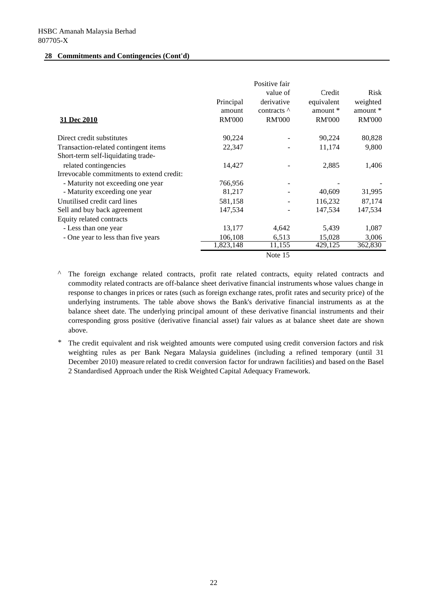### **28 Commitments and Contingencies (Cont'd)**

| 31 Dec 2010                               | Principal<br>amount<br><b>RM'000</b> | Positive fair<br>value of<br>derivative<br>contracts $\wedge$<br><b>RM'000</b> | Credit<br>equivalent<br>amount $*$<br><b>RM'000</b> | <b>Risk</b><br>weighted<br>amount *<br><b>RM'000</b> |
|-------------------------------------------|--------------------------------------|--------------------------------------------------------------------------------|-----------------------------------------------------|------------------------------------------------------|
| Direct credit substitutes                 | 90,224                               |                                                                                | 90,224                                              | 80,828                                               |
| Transaction-related contingent items      | 22,347                               |                                                                                | 11,174                                              | 9,800                                                |
| Short-term self-liquidating trade-        |                                      |                                                                                |                                                     |                                                      |
| related contingencies                     | 14,427                               |                                                                                | 2,885                                               | 1,406                                                |
| Irrevocable commitments to extend credit: |                                      |                                                                                |                                                     |                                                      |
| - Maturity not exceeding one year         | 766,956                              |                                                                                |                                                     |                                                      |
| - Maturity exceeding one year             | 81,217                               |                                                                                | 40,609                                              | 31,995                                               |
| Unutilised credit card lines              | 581,158                              |                                                                                | 116,232                                             | 87,174                                               |
| Sell and buy back agreement               | 147,534                              |                                                                                | 147,534                                             | 147,534                                              |
| Equity related contracts                  |                                      |                                                                                |                                                     |                                                      |
| - Less than one year                      | 13,177                               | 4,642                                                                          | 5,439                                               | 1,087                                                |
| - One year to less than five years        | 106,108                              | 6,513                                                                          | 15,028                                              | 3,006                                                |
|                                           | 1,823,148                            | 11,155                                                                         | 429,125                                             | 362,830                                              |
|                                           |                                      | Note 15                                                                        |                                                     |                                                      |

*^* The foreign exchange related contracts, profit rate related contracts, equity related contracts and commodity related contracts are off-balance sheet derivative financial instruments whose values change in response to changes in prices or rates (such as foreign exchange rates, profit rates and security price) of the underlying instruments. The table above shows the Bank's derivative financial instruments as at the balance sheet date. The underlying principal amount of these derivative financial instruments and their corresponding gross positive (derivative financial asset) fair values as at balance sheet date are shown above.

*\** The credit equivalent and risk weighted amounts were computed using credit conversion factors and risk weighting rules as per Bank Negara Malaysia guidelines (including a refined temporary (until 31 December 2010) measure related to credit conversion factor for undrawn facilities) and based on the Basel 2 Standardised Approach under the Risk Weighted Capital Adequacy Framework.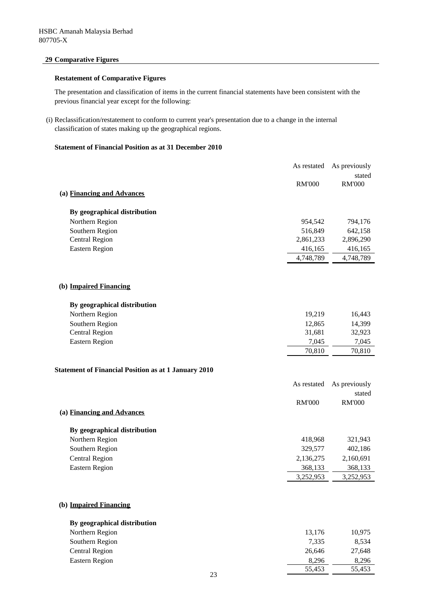## **29 Comparative Figures**

## **Restatement of Comparative Figures**

The presentation and classification of items in the current financial statements have been consistent with the previous financial year except for the following:

(i) Reclassification/restatement to conform to current year's presentation due to a change in the internal classification of states making up the geographical regions.

## **Statement of Financial Position as at 31 December 2010**

|                                                             | As restated   | As previously |
|-------------------------------------------------------------|---------------|---------------|
|                                                             |               | stated        |
|                                                             | <b>RM'000</b> | <b>RM'000</b> |
| (a) Financing and Advances                                  |               |               |
|                                                             |               |               |
| By geographical distribution                                |               |               |
| Northern Region                                             | 954,542       | 794,176       |
| Southern Region                                             | 516,849       | 642,158       |
| <b>Central Region</b>                                       | 2,861,233     | 2,896,290     |
| <b>Eastern Region</b>                                       | 416,165       | 416,165       |
|                                                             | 4,748,789     | 4,748,789     |
|                                                             |               |               |
| (b) Impaired Financing                                      |               |               |
| By geographical distribution                                |               |               |
| Northern Region                                             | 19,219        | 16,443        |
| Southern Region                                             | 12,865        | 14,399        |
| <b>Central Region</b>                                       | 31,681        | 32,923        |
| <b>Eastern Region</b>                                       | 7,045         | 7,045         |
|                                                             | 70,810        | 70,810        |
| <b>Statement of Financial Position as at 1 January 2010</b> |               |               |
|                                                             |               |               |
|                                                             | As restated   | As previously |
|                                                             |               | stated        |
|                                                             | <b>RM'000</b> | <b>RM'000</b> |
| (a) Financing and Advances                                  |               |               |
| By geographical distribution                                |               |               |
| Northern Region                                             | 418,968       | 321,943       |
| Southern Region                                             | 329,577       | 402,186       |
| <b>Central Region</b>                                       | 2,136,275     | 2,160,691     |
| <b>Eastern Region</b>                                       | 368,133       | 368,133       |
|                                                             | 3,252,953     | 3,252,953     |
|                                                             |               |               |
| (b) Impaired Financing                                      |               |               |
| By geographical distribution                                |               |               |
| Northern Region                                             | 13,176        | 10,975        |
| Southern Region                                             | 7,335         | 8,534         |
| <b>Central Region</b>                                       | 26,646        | 27,648        |
| <b>Eastern Region</b>                                       | 8,296         | 8,296         |

55,453 55,453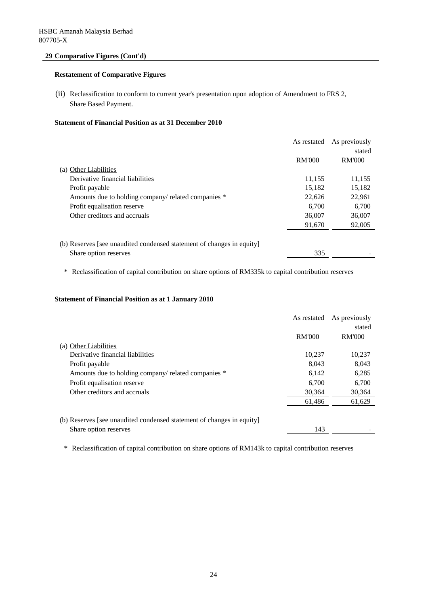## **29 Comparative Figures (Cont'd)**

## **Restatement of Comparative Figures**

(ii) Reclassification to conform to current year's presentation upon adoption of Amendment to FRS 2, Share Based Payment.

## **Statement of Financial Position as at 31 December 2010**

|                                                                       | As restated   | As previously |
|-----------------------------------------------------------------------|---------------|---------------|
|                                                                       |               | stated        |
|                                                                       | <b>RM'000</b> | <b>RM'000</b> |
| (a) Other Liabilities                                                 |               |               |
| Derivative financial liabilities                                      | 11,155        | 11,155        |
| Profit payable                                                        | 15,182        | 15,182        |
| Amounts due to holding company/ related companies *                   | 22,626        | 22,961        |
| Profit equalisation reserve                                           | 6.700         | 6,700         |
| Other creditors and accruals                                          | 36,007        | 36,007        |
|                                                                       | 91,670        | 92,005        |
| (b) Reserves [see unaudited condensed statement of changes in equity] |               |               |
| Share option reserves                                                 | 335           |               |

\* Reclassification of capital contribution on share options of RM335k to capital contribution reserves

## **Statement of Financial Position as at 1 January 2010**

|                                                                       | As restated   | As previously |
|-----------------------------------------------------------------------|---------------|---------------|
|                                                                       |               | stated        |
|                                                                       | <b>RM'000</b> | <b>RM'000</b> |
| (a) Other Liabilities                                                 |               |               |
| Derivative financial liabilities                                      | 10,237        | 10.237        |
| Profit payable                                                        | 8.043         | 8,043         |
| Amounts due to holding company/ related companies *                   | 6,142         | 6,285         |
| Profit equalisation reserve                                           | 6.700         | 6.700         |
| Other creditors and accruals                                          | 30.364        | 30,364        |
|                                                                       | 61,486        | 61,629        |
| (b) Reserves [see unaudited condensed statement of changes in equity] |               |               |
| Share option reserves                                                 | 143           |               |

\* Reclassification of capital contribution on share options of RM143k to capital contribution reserves